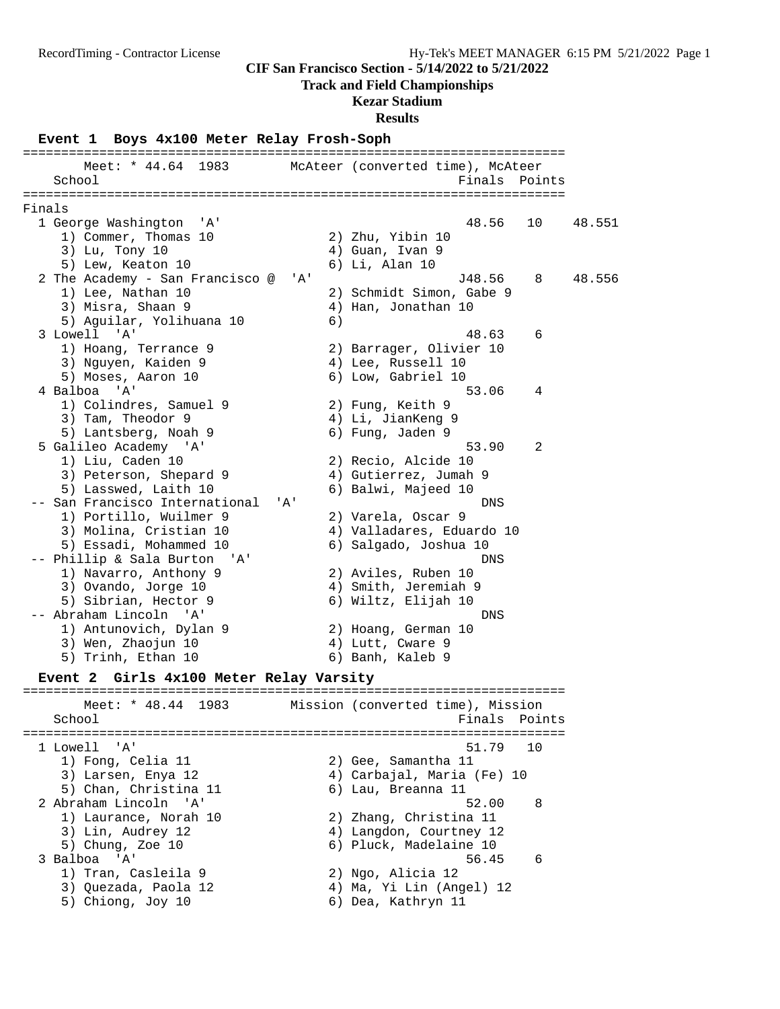**Track and Field Championships**

#### **Kezar Stadium**

**Results**

#### **Event 1 Boys 4x100 Meter Relay Frosh-Soph**

======================================================================= Meet: \* 44.64 1983 McAteer (converted time), McAteer School **Finals** Points ======================================================================= Finals 1 George Washington 'A' 48.56 10 48.551 1) Commer, Thomas 10 2) Zhu, Yibin 10<br>3) Lu, Tony 10 4) Guan, Ivan 9 3) Lu, Tony 10 4) Guan, Ivan 9 5) Lew, Keaton 10 (6) Li, Alan 10 2 The Academy - San Francisco @ 'A' J48.56 8 48.556<br>1) Lee, Nathan 10 2) Schmidt Simon, Gabe 9 1) Lee, Nathan 10 2) Schmidt Simon, Gabe 9 3) Misra, Shaan 9 4) Han, Jonathan 10 5) Aguilar, Yolihuana 10 6) 3 Lowell 'A' 48.63 6 1) Hoang, Terrance 9 2) Barrager, Olivier 10 3) Nguyen, Kaiden 9 19 19 19 19 19 19 19 19 19 10 5) Moses, Aaron 10 6) Low, Gabriel 10 4 Balboa 'A' 53.06 4 1) Colindres, Samuel 9 2) Fung, Keith 9 3) Tam, Theodor 9 (1988) 4) Li, JianKeng 9 5) Lantsberg, Noah 9 6) Fung, Jaden 9 5 Galileo Academy 'A' 53.90 2 1) Liu, Caden 10 2) Recio, Alcide 10 3) Peterson, Shepard 9 4) Gutierrez, Jumah 9 5) Lasswed, Laith 10 (6) Balwi, Majeed 10 -- San Francisco International 'A' DNS 1) Portillo, Wuilmer 9 2) Varela, Oscar 9 3) Molina, Cristian 10 4) Valladares, Eduardo 10 5) Essadi, Mohammed 10 6) Salgado, Joshua 10 -- Phillip & Sala Burton 'A' DNS 1) Navarro, Anthony 9 2) Aviles, Ruben 10 3) Ovando, Jorge 10 (4) Amith, Jeremiah 9 5) Sibrian, Hector 9 6) Wiltz, Elijah 10 -- Abraham Lincoln 'A' DNS 1) Antunovich, Dylan 9 2) Hoang, German 10 3) Wen, Zhaojun 10  $\hskip1cm 4$ ) Lutt, Cware 9 5) Trinh, Ethan 10 (6) Banh, Kaleb 9 **Event 2 Girls 4x100 Meter Relay Varsity** ======================================================================= Meet: \* 48.44 1983 Mission (converted time), Mission School **Finals** Points **Points** ======================================================================= 1 Lowell 'A' 51.79 10 1) Fong, Celia 11 2) Gee, Samantha 11 3) Larsen, Enya 12 4) Carbajal, Maria (Fe) 10 5) Chan, Christina 11 (6) Lau, Breanna 11 2 Abraham Lincoln 'A' 52.00 8 1) Laurance, Norah 10 2) Zhang, Christina 11 3) Lin, Audrey 12 4) Langdon, Courtney 12 5) Chung, Zoe 10 6) Pluck, Madelaine 10 3 Balboa 'A' 56.45 6 1) Tran, Casleila 9 2) Ngo, Alicia 12 3) Quezada, Paola 12 4) Ma, Yi Lin (Angel) 12 5) Chiong, Joy 10 6) Dea, Kathryn 11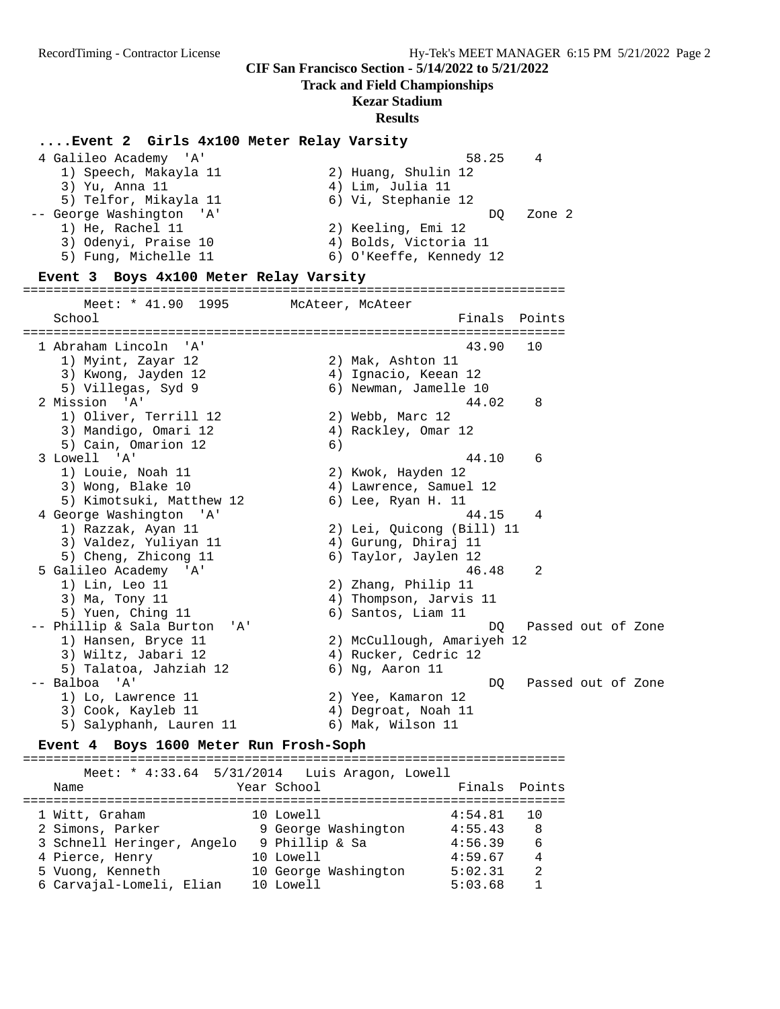### **Track and Field Championships**

# **Kezar Stadium**

#### **Results**

#### **....Event 2 Girls 4x100 Meter Relay Varsity**

| 4 Galileo Academy 'A'    | 58.25                   | $\overline{4}$ |
|--------------------------|-------------------------|----------------|
| 1) Speech, Makayla 11    | 2) Huang, Shulin 12     |                |
| 3) Yu, Anna 11           | 4) Lim, Julia 11        |                |
| 5) Telfor, Mikayla 11    | 6) Vi, Stephanie 12     |                |
| -- George Washington 'A' | DO.                     | Zone 2         |
| 1) He, Rachel 11         | 2) Keeling, Emi 12      |                |
| 3) Odenyi, Praise 10     | 4) Bolds, Victoria 11   |                |
| 5) Fung, Michelle 11     | 6) O'Keeffe, Kennedy 12 |                |

#### **Event 3 Boys 4x100 Meter Relay Varsity**

======================================================================= Meet: \* 41.90 1995 McAteer, McAteer School **Finals Points** Points Points Points Points Points Points Points Points Points Points Points Points Points Points Points Points Points Points Points Points Points Points Points Points Points Points Points Points Poi ======================================================================= 1 Abraham Lincoln 'A' 43.90 10 1) Myint, Zayar 12 2) Mak, Ashton 11 3) Kwong, Jayden 12 (4) Ignacio, Keean 12 5) Villegas, Syd 9 6) Newman, Jamelle 10 2 Mission 'A' 44.02 8 1) Oliver, Terrill 12 2) Webb, Marc 12 3) Mandigo, Omari 12 4) Rackley, Omar 12 5) Cain, Omarion 12 6) 3 Lowell 'A' 44.10 6 1) Louie, Noah 11 2) Kwok, Hayden 12 3) Wong, Blake 10 4) Lawrence, Samuel 12 5) Kimotsuki, Matthew 12 (6) Lee, Ryan H. 11 4 George Washington 'A' 44.15 4 1) Razzak, Ayan 11 2) Lei, Quicong (Bill) 11 3) Valdez, Yuliyan 11 1 4) Gurung, Dhiraj 11 5) Cheng, Zhicong 11 6) Taylor, Jaylen 12 5 Galileo Academy 'A' 46.48 2 1) Lin, Leo 11 2) Zhang, Philip 11 3) Ma, Tony 11 4) Thompson, Jarvis 11 5) Yuen, Ching 11 6) Santos, Liam 11 -- Phillip & Sala Burton 'A' DQ Passed out of Zone 1) Hansen, Bryce 11 2) McCullough, Amariyeh 12 3) Wiltz, Jabari 12 (4) Rucker, Cedric 12 5) Talatoa, Jahziah 12 6) Ng, Aaron 11 -- Balboa 'A' DQ Passed out of Zone 1) Lo, Lawrence 11 2) Yee, Kamaron 12 3) Cook, Kayleb 11 (4) Degroat, Noah 11 5) Salyphanh, Lauren 11  $\qquad \qquad$  6) Mak, Wilson 11

#### **Event 4 Boys 1600 Meter Run Frosh-Soph**

======================================================================= Meet: \* 4:33.64 5/31/2014 Luis Aragon, Lowell Name The Year School Team Points Points ======================================================================= 1 Witt, Graham 10 Lowell 4:54.81 10 2 Simons, Parker 9 George Washington 4:55.43 8 3 Schnell Heringer, Angelo 9 Phillip & Sa 4:56.39 6 4 Pierce, Henry 10 Lowell 4:59.67 4 5 Vuong, Kenneth 10 George Washington 5:02.31 2 6 Carvajal-Lomeli, Elian 10 Lowell 5:03.68 1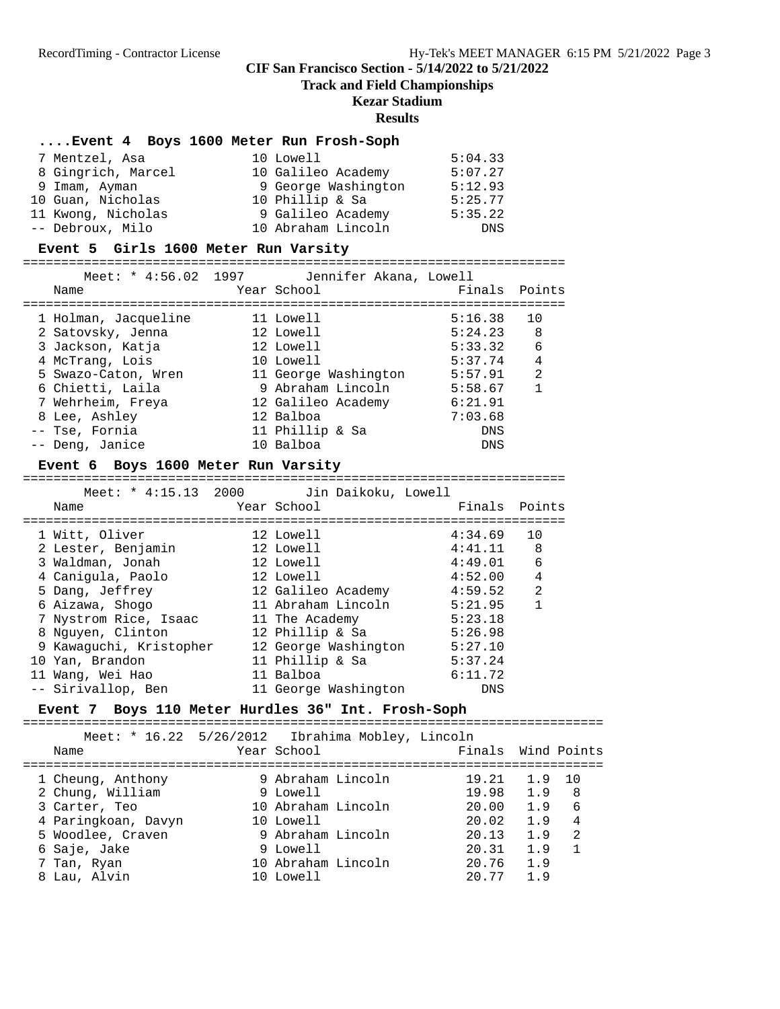# **Track and Field Championships**

### **Kezar Stadium**

#### **Results**

# **....Event 4 Boys 1600 Meter Run Frosh-Soph**

| 7 Mentzel, Asa     | 10 Lowell           | 5:04.33    |
|--------------------|---------------------|------------|
| 8 Gingrich, Marcel | 10 Galileo Academy  | 5:07.27    |
| 9 Imam, Ayman      | 9 George Washington | 5:12.93    |
| 10 Guan, Nicholas  | 10 Phillip & Sa     | 5:25.77    |
| 11 Kwong, Nicholas | 9 Galileo Academy   | 5:35.22    |
| -- Debroux, Milo   | 10 Abraham Lincoln  | <b>DNS</b> |

#### **Event 5 Girls 1600 Meter Run Varsity**

=======================================================================

| Meet: * 4:56.02 1997 | Jennifer Akana, Lowell |               |                |
|----------------------|------------------------|---------------|----------------|
| Name                 | Year School            | Finals Points |                |
|                      |                        |               |                |
| 1 Holman, Jacqueline | 11 Lowell              | 5:16.38       | 10             |
| 2 Satovsky, Jenna    | 12 Lowell              | 5:24.23       | 8              |
| 3 Jackson, Katja     | 12 Lowell              | 5:33.32       | - 6            |
| 4 McTrang, Lois      | 10 Lowell              | 5:37.74       | $\overline{4}$ |
| 5 Swazo-Caton, Wren  | 11 George Washington   | 5:57.91       | 2              |
| 6 Chietti, Laila     | 9 Abraham Lincoln      | 5:58.67       | $\mathbf{1}$   |
| 7 Wehrheim, Freya    | 12 Galileo Academy     | 6:21.91       |                |
| 8 Lee, Ashley        | 12 Balboa              | 7:03.68       |                |
| -- Tse, Fornia       | 11 Phillip & Sa        | DNS           |                |
| -- Deng, Janice      | 10 Balboa              | <b>DNS</b>    |                |
|                      |                        |               |                |

# **Event 6 Boys 1600 Meter Run Varsity**

=======================================================================

| Meet: * 4:15.13 2000    | Jin Daikoku, Lowell  |               |                |
|-------------------------|----------------------|---------------|----------------|
| Name                    | Year School          | Finals Points |                |
|                         |                      |               |                |
| 1 Witt, Oliver          | 12 Lowell            | 4:34.69       | 10             |
| 2 Lester, Benjamin      | 12 Lowell            | 4:41.11       | - 8            |
| 3 Waldman, Jonah        | 12 Lowell            | 4:49.01       | 6              |
| 4 Caniqula, Paolo       | 12 Lowell            | 4:52.00       | $\overline{4}$ |
| 5 Dang, Jeffrey         | 12 Galileo Academy   | 4:59.52       | 2              |
| 6 Aizawa, Shogo         | 11 Abraham Lincoln   | 5:21.95       | 1              |
| 7 Nystrom Rice, Isaac   | 11 The Academy       | 5:23.18       |                |
| 8 Nguyen, Clinton       | 12 Phillip & Sa      | 5:26.98       |                |
| 9 Kawaguchi, Kristopher | 12 George Washington | 5:27.10       |                |
| 10 Yan, Brandon         | 11 Phillip & Sa      | 5:37.24       |                |
| 11 Wang, Wei Hao        | 11 Balboa            | 6:11.72       |                |
| -- Sirivallop, Ben      | 11 George Washington | DNS           |                |

#### **Event 7 Boys 110 Meter Hurdles 36" Int. Frosh-Soph**

============================================================================

| Name                | Meet: $* 16.22 5/26/2012$ Ibrahima Mobley, Lincoln<br>Year School |       | Finals Wind Points  |  |
|---------------------|-------------------------------------------------------------------|-------|---------------------|--|
| 1 Cheung, Anthony   | 9 Abraham Lincoln                                                 | 19.21 | 1.9<br>10           |  |
| 2 Chung, William    | 9 Lowell                                                          | 19.98 | 1.9<br>8            |  |
| 3 Carter, Teo       | 10 Abraham Lincoln                                                | 20.00 | 6<br>1.9            |  |
| 4 Paringkoan, Davyn | 10 Lowell                                                         | 20.02 | 1.9<br>4            |  |
| 5 Woodlee, Craven   | 9 Abraham Lincoln                                                 | 20.13 | 2<br>1.9            |  |
| 6 Saje, Jake        | 9 Lowell                                                          | 20.31 | 1.9<br>$\mathbf{1}$ |  |
| 7 Tan, Ryan         | 10 Abraham Lincoln                                                | 20.76 | 1.9                 |  |
| 8 Lau, Alvin        | 10 Lowell                                                         | 20.77 | 1.9                 |  |
|                     |                                                                   |       |                     |  |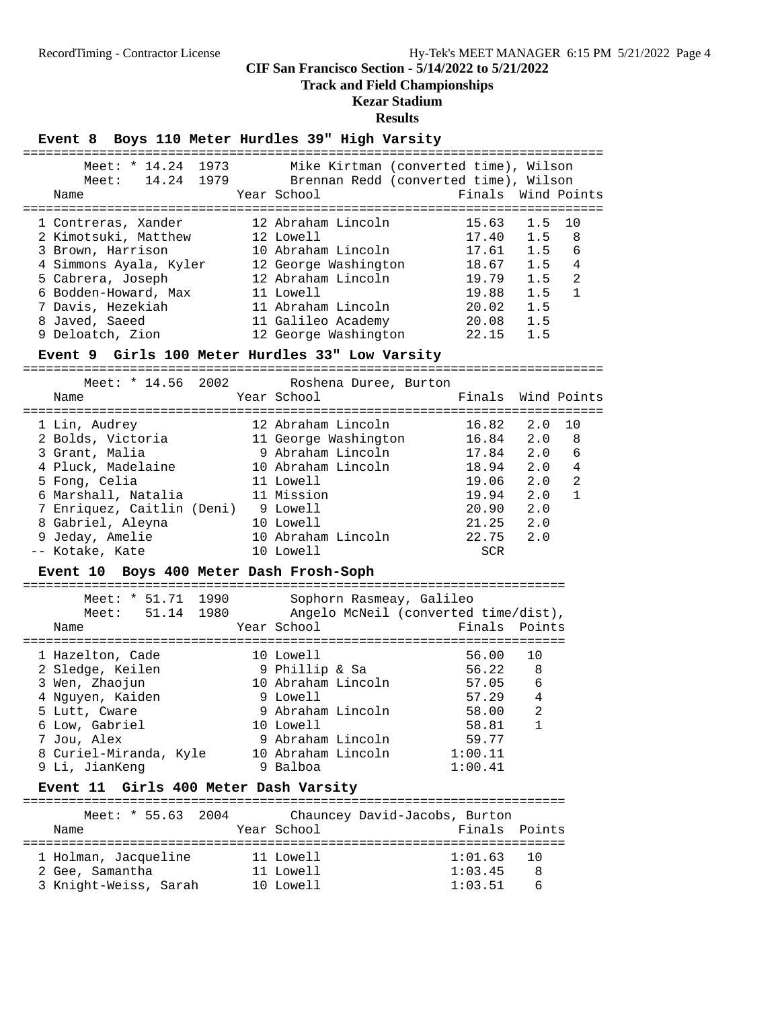# **Track and Field Championships**

# **Kezar Stadium**

# **Results**

# **Event 8 Boys 110 Meter Hurdles 39" High Varsity**

| 1973<br>Meet: * 14.24<br>Meet: 14.24 1979<br>Name                                                                                       | Mike Kirtman (converted time), Wilson<br>Brennan Redd (converted time), Wilson<br>Year School                       |                                                              | Finals Wind Points                                                |
|-----------------------------------------------------------------------------------------------------------------------------------------|---------------------------------------------------------------------------------------------------------------------|--------------------------------------------------------------|-------------------------------------------------------------------|
| 1 Contreras, Xander<br>2 Kimotsuki, Matthew<br>3 Brown, Harrison<br>4 Simmons Ayala, Kyler<br>5 Cabrera, Joseph<br>6 Bodden-Howard, Max | 12 Abraham Lincoln<br>12 Lowell<br>10 Abraham Lincoln<br>12 George Washington<br>12 Abraham Lincoln<br>11 Lowell    | 15.63<br>$17.40$ 1.5<br>17.61 1.5<br>18.67<br>19.79<br>19.88 | 1.5<br>10<br>- 8<br>6<br>4<br>1.5<br>$\mathfrak{D}$<br>1.5<br>1.5 |
| 7 Davis, Hezekiah<br>8 Javed, Saeed<br>9 Deloatch, Zion                                                                                 | 11 Abraham Lincoln<br>11 Galileo Academy<br>12 George Washington<br>Event 9 Girls 100 Meter Hurdles 33" Low Varsity | 20.02<br>20.08<br>22.15                                      | 1.5<br>1.5<br>1.5                                                 |

============================================================================

| Meet: $* 14.56 2002$<br>Name | Roshena Duree, Burton<br>Year School | Finals Wind Points |     |    |
|------------------------------|--------------------------------------|--------------------|-----|----|
|                              |                                      |                    |     |    |
| 1 Lin, Audrey                | 12 Abraham Lincoln                   | 16.82              | 2.0 | 10 |
| 2 Bolds, Victoria            | 11 George Washington                 | 16.84              | 2.0 | 8  |
| 3 Grant, Malia               | 9 Abraham Lincoln                    | 17.84              | 2.0 | 6  |
| 4 Pluck, Madelaine           | 10 Abraham Lincoln                   | 18.94              | 2.0 | 4  |
| 5 Fong, Celia                | 11 Lowell                            | 19.06              | 2.0 | 2  |
| 6 Marshall, Natalia          | 11 Mission                           | 19.94              | 2.0 |    |
| 7 Enriquez, Caitlin (Deni)   | 9 Lowell                             | 20.90              | 2.0 |    |
| 8 Gabriel, Aleyna            | 10 Lowell                            | 21.25              | 2.0 |    |
| 9 Jeday, Amelie              | 10 Abraham Lincoln                   | 22.75              | 2.0 |    |
| -- Kotake, Kate              | 10 Lowell                            | <b>SCR</b>         |     |    |
|                              |                                      |                    |     |    |

# **Event 10 Boys 400 Meter Dash Frosh-Soph**

| Meet: * 51.71<br>Meet: 51.14 1980<br>Name | 1990 | Sophorn Rasmeay, Galileo<br>Year School | Angelo McNeil (converted time/dist),<br>Finals Points |                                  |
|-------------------------------------------|------|-----------------------------------------|-------------------------------------------------------|----------------------------------|
| 1 Hazelton, Cade<br>2 Sledge, Keilen      |      | 10 Lowell<br>9 Phillip & Sa             | 56.00<br>56.22                                        | 10<br>-8                         |
| 3 Wen, Zhaojun                            |      | 10 Abraham Lincoln                      | 57.05                                                 | 6                                |
| 4 Nguyen, Kaiden<br>5 Lutt, Cware         |      | 9 Lowell<br>9 Abraham Lincoln           | 57.29<br>58.00                                        | $\overline{4}$<br>$\mathfrak{D}$ |
| 6 Low, Gabriel                            |      | 10 Lowell                               | 58.81                                                 |                                  |
| 7 Jou, Alex<br>8 Curiel-Miranda, Kyle     |      | 9 Abraham Lincoln<br>10 Abraham Lincoln | 59.77<br>1:00.11                                      |                                  |
| 9 Li, JianKeng                            |      | 9 Balboa                                | 1:00.41                                               |                                  |

# **Event 11 Girls 400 Meter Dash Varsity**

| Meet: $* 55.63 2004$  |             | Chauncey David-Jacobs, Burton |    |
|-----------------------|-------------|-------------------------------|----|
| Name                  | Year School | Finals Points                 |    |
| 1 Holman, Jacqueline  | 11 Lowell   | $1:01.63$ 10                  |    |
| 2 Gee, Samantha       | 11 Lowell   | 1:03.45                       | -8 |
| 3 Knight-Weiss, Sarah | 10 Lowell   | 1:03.51                       | -6 |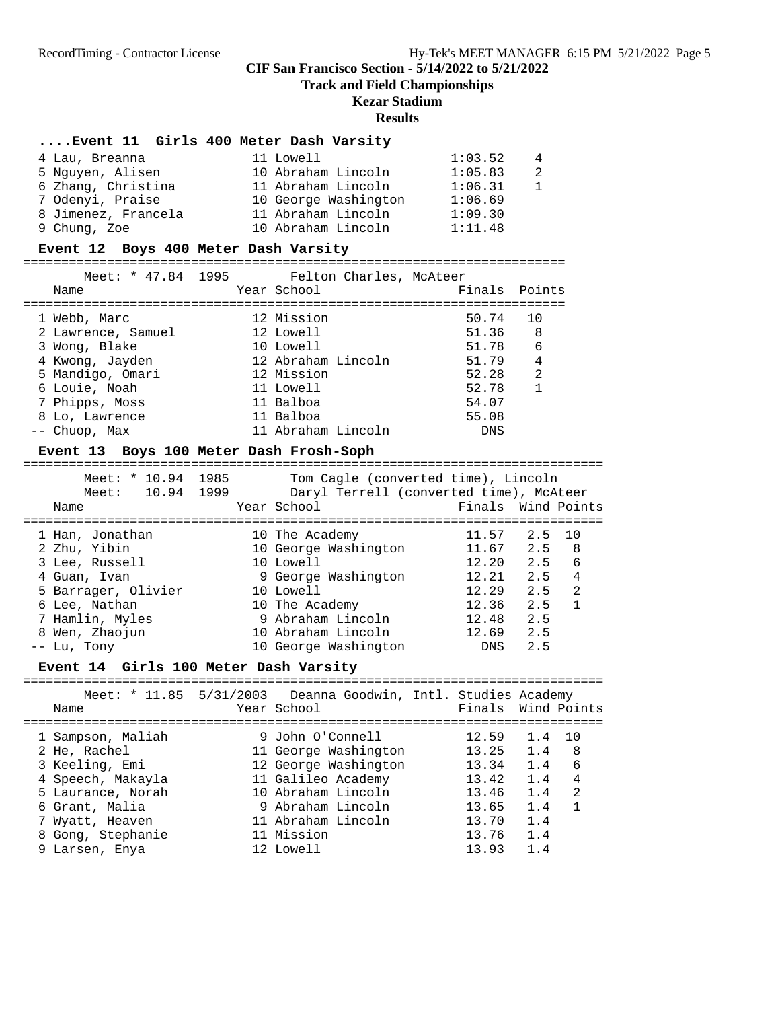**Track and Field Championships**

# **Kezar Stadium**

#### **Results**

# **....Event 11 Girls 400 Meter Dash Varsity**

| 4 Lau, Breanna      |  | 11 Lowell            | 1:03.52 | 4            |
|---------------------|--|----------------------|---------|--------------|
| 5 Nguyen, Alisen    |  | 10 Abraham Lincoln   | 1:05.83 | -2           |
| 6 Zhang, Christina  |  | 11 Abraham Lincoln   | 1:06.31 | $\mathbf{1}$ |
| 7 Odenyi, Praise    |  | 10 George Washington | 1:06.69 |              |
| 8 Jimenez, Francela |  | 11 Abraham Lincoln   | 1:09.30 |              |
| 9 Chung, Zoe        |  | 10 Abraham Lincoln   | 1:11.48 |              |

#### **Event 12 Boys 400 Meter Dash Varsity**

=======================================================================

| Meet: * 47.84 1995 |                    | Felton Charles, McAteer |       |                |
|--------------------|--------------------|-------------------------|-------|----------------|
| Name               | Year School        |                         |       | Finals Points  |
|                    |                    |                         |       |                |
| 1 Webb, Marc       | 12 Mission         |                         | 50.74 | 10             |
| 2 Lawrence, Samuel | 12 Lowell          |                         | 51.36 | - 8            |
| 3 Wong, Blake      | 10 Lowell          |                         | 51.78 | - 6            |
| 4 Kwong, Jayden    | 12 Abraham Lincoln |                         | 51.79 | $\overline{4}$ |
| 5 Mandigo, Omari   | 12 Mission         |                         | 52.28 | 2              |
| 6 Louie, Noah      | 11 Lowell          |                         | 52.78 | $\mathbf{1}$   |
| 7 Phipps, Moss     | 11 Balboa          |                         | 54.07 |                |
| 8 Lo, Lawrence     | 11 Balboa          |                         | 55.08 |                |
| -- Chuop, Max      | 11 Abraham Lincoln |                         | DNS   |                |
|                    |                    |                         |       |                |

# **Event 13 Boys 100 Meter Dash Frosh-Soph**

| Meet: $* 10.94$<br>10.94<br>Meet: | 1985<br>1999 | Tom Cagle (converted time), Lincoln<br>Daryl Terrell (converted time), McAteer |            |                       |
|-----------------------------------|--------------|--------------------------------------------------------------------------------|------------|-----------------------|
| Name                              |              | Year School                                                                    |            | Finals Wind Points    |
|                                   |              |                                                                                |            |                       |
| 1 Han, Jonathan                   |              | 10 The Academy                                                                 | 11.57      | 2.5<br>10             |
| 2 Zhu, Yibin                      |              | 10 George Washington                                                           | 11.67      | 2.5<br>8              |
| 3 Lee, Russell                    |              | 10 Lowell                                                                      | 12.20      | 6<br>2.5              |
| 4 Guan, Ivan                      |              | 9 George Washington                                                            | 12.21      | 4<br>2.5              |
| 5 Barrager, Olivier               |              | 10 Lowell                                                                      | 12.29      | $\mathfrak{D}$<br>2.5 |
| 6 Lee, Nathan                     |              | 10 The Academy                                                                 | 12.36      | 2.5                   |
| 7 Hamlin, Myles                   |              | 9 Abraham Lincoln                                                              | 12.48      | 2.5                   |
| 8 Wen, Zhaojun                    |              | 10 Abraham Lincoln                                                             | 12.69      | 2.5                   |
| -- Lu, Tony                       |              | 10 George Washington                                                           | <b>DNS</b> | 2.5                   |

#### **Event 14 Girls 100 Meter Dash Varsity**

| Name              | Meet: * 11.85 5/31/2003 Deanna Goodwin, Intl. Studies Academy<br>Year School | Finals Wind Points |        |   |
|-------------------|------------------------------------------------------------------------------|--------------------|--------|---|
| 1 Sampson, Maliah | 9 John O'Connell                                                             | 12.59              | 1.4 10 |   |
| 2 He, Rachel      | 11 George Washington                                                         | 13.25              | 1.4    | 8 |
| 3 Keeling, Emi    | 12 George Washington                                                         | 13.34              | 1.4    | 6 |
| 4 Speech, Makayla | 11 Galileo Academy                                                           | 13.42              | 1.4    | 4 |
| 5 Laurance, Norah | 10 Abraham Lincoln                                                           | 13.46              | 1.4    | 2 |
| 6 Grant, Malia    | 9 Abraham Lincoln                                                            | 13.65              | 1.4    |   |
| 7 Wyatt, Heaven   | 11 Abraham Lincoln                                                           | 13.70              | 1.4    |   |
| 8 Gong, Stephanie | 11 Mission                                                                   | 13.76              | 1.4    |   |
| 9 Larsen, Enya    | 12 Lowell                                                                    | 13.93              | 1.4    |   |
|                   |                                                                              |                    |        |   |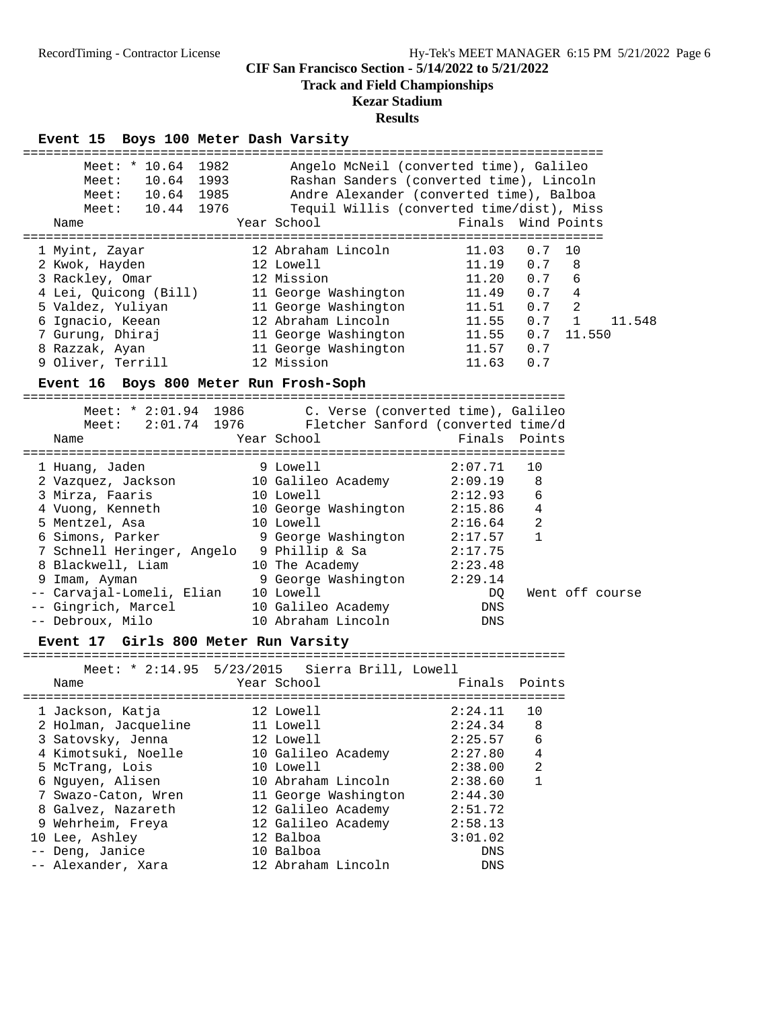### **Track and Field Championships**

### **Kezar Stadium**

| Event 15 Boys 100 Meter Dash Varsity<br>=====================================                                                                                                                                                                                                                                                  |                                                                                                                                                                                                                  | -------------------------------------                                                                                                                                                                 |                                                 |
|--------------------------------------------------------------------------------------------------------------------------------------------------------------------------------------------------------------------------------------------------------------------------------------------------------------------------------|------------------------------------------------------------------------------------------------------------------------------------------------------------------------------------------------------------------|-------------------------------------------------------------------------------------------------------------------------------------------------------------------------------------------------------|-------------------------------------------------|
| Meet: * 10.64 1982<br>Meet: 10.64 1993<br>10.64 1985<br>Meet:<br>Meet: 10.44 1976<br>Name                                                                                                                                                                                                                                      | Year School                                                                                                                                                                                                      | Angelo McNeil (converted time), Galileo<br>Rashan Sanders (converted time), Lincoln<br>Andre Alexander (converted time), Balboa<br>Tequil Willis (converted time/dist), Miss<br>Finals<br>Wind Points |                                                 |
| 1 Myint, Zayar<br>2 Kwok, Hayden<br>3 Rackley, Omar<br>4 Lei, Quicong (Bill)<br>5 Valdez - Yuliyan<br>6 Ignacio, Keean<br>7 Gurung, Dhiraj<br>8 Razzak, Ayan<br>9 Oliver, Terrill<br>Event 16 Boys 800 Meter Run Frosh-Soph                                                                                                    | 12 Abraham Lincoln<br>12 Lowell<br>12 Mission<br>11 George Washington<br>11 George Washington<br>12 Abraham Lincoln<br>11 George Washington<br>11 George Washington<br>12 Mission                                | =====================================<br>0.7<br>11.03<br>0.7<br>11.19<br>0.7<br>11.20<br>11.49<br>0.7<br>0.7<br>11.51<br>11.55<br>0.7<br>0.7<br>11.55<br>0.7<br>11.57<br>11.63<br>0.7                 | 10<br>8<br>6<br>4<br>2<br>1<br>11.548<br>11.550 |
| Meet: * 2:01.94 1986<br>Meet:<br>Name                                                                                                                                                                                                                                                                                          | C. Verse (converted time), Galileo<br>2:01.74 1976 Fletcher Sanford (converted time/d<br>Year School                                                                                                             | Finals Points                                                                                                                                                                                         |                                                 |
| 1 Huang, Jaden<br>2 Vazquez, Jackson<br>3 Mirza, Faaris<br>4 Vuong, Kenneth<br>5 Mentzel, Asa<br>6 Simons, Parker<br>7 Schnell Heringer, Angelo 9 Phillip & Sa<br>8 Blackwell, Liam<br>9 Imam, Ayman<br>-- Carvajal-Lomeli, Elian 10 Lowell<br>-- Gingrich, Marcel<br>-- Debroux, Milo<br>Event 17 Girls 800 Meter Run Varsity | 9 Lowell<br>10 Galileo Academy<br>10 Lowell<br>10 George Washington<br>10 Lowell<br>9 George Washington<br>10 The Academy<br>9 George Washington 2:29.14<br>10 Galileo Academy<br>10 Abraham Lincoln             | 2:07.71<br>10<br>2:09.19<br>8<br>2:12.93<br>6<br>$\overline{4}$<br>2:15.86<br>$\overline{2}$<br>2:16.64<br>$\mathbf{1}$<br>2:17.57<br>2:17.75<br>2:23.48<br>DQ<br>DNS<br>DNS                          | Went off course                                 |
| Meet: * $2:14.95$ 5/23/2015<br>Name                                                                                                                                                                                                                                                                                            | Sierra Brill, Lowell<br>Year School                                                                                                                                                                              | Finals Points                                                                                                                                                                                         |                                                 |
| 1 Jackson, Katja<br>2 Holman, Jacqueline<br>3 Satovsky, Jenna<br>4 Kimotsuki, Noelle<br>5 McTrang, Lois<br>6 Nguyen, Alisen<br>7 Swazo-Caton, Wren<br>8 Galvez, Nazareth<br>9 Wehrheim, Freya<br>10 Lee, Ashley<br>-- Deng, Janice<br>-- Alexander, Xara                                                                       | 12 Lowell<br>11 Lowell<br>12 Lowell<br>10 Galileo Academy<br>10 Lowell<br>10 Abraham Lincoln<br>11 George Washington<br>12 Galileo Academy<br>12 Galileo Academy<br>12 Balboa<br>10 Balboa<br>12 Abraham Lincoln | =======================<br>2:24.11<br>10<br>8<br>2:24.34<br>6<br>2:25.57<br>4<br>2:27.80<br>2<br>2:38.00<br>$\mathbf{1}$<br>2:38.60<br>2:44.30<br>2:51.72<br>2:58.13<br>3:01.02<br>DNS<br>DNS         |                                                 |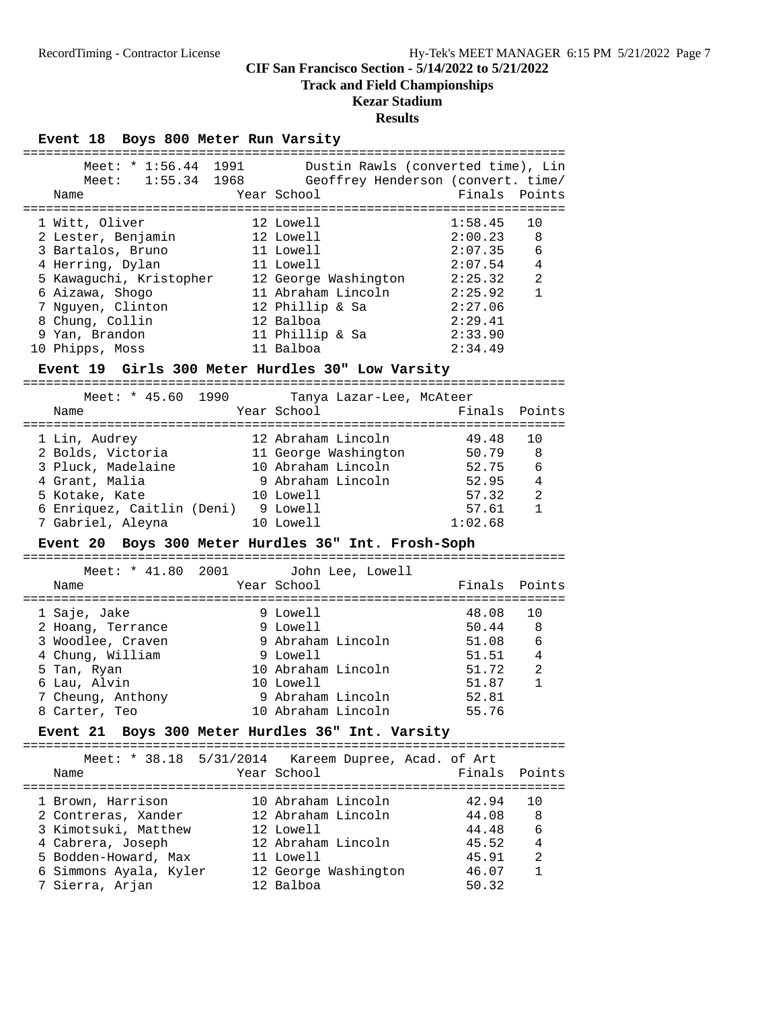# **Track and Field Championships**

# **Kezar Stadium**

#### **Results**

#### **Event 18 Boys 800 Meter Run Varsity**

| Meet: $* 1:56.44$<br>$1:55.34$ 1968<br>Meet:<br>Name | 1991 | Dustin Rawls (converted time), Lin<br>Geoffrey Henderson (convert. time/<br>Year School | Finals Points |                |
|------------------------------------------------------|------|-----------------------------------------------------------------------------------------|---------------|----------------|
| 1 Witt, Oliver                                       |      | 12 Lowell                                                                               | 1:58.45       | 10             |
| 2 Lester, Benjamin                                   |      | 12 Lowell                                                                               | 2:00.23       | -8             |
| 3 Bartalos, Bruno                                    |      | 11 Lowell                                                                               | 2:07.35       | 6              |
| 4 Herring, Dylan                                     |      | 11 Lowell                                                                               | 2:07.54       | $\overline{4}$ |
| 5 Kawaquchi, Kristopher                              |      | 12 George Washington                                                                    | 2:25.32       | $\mathfrak{D}$ |
| 6 Aizawa, Shogo                                      |      | 11 Abraham Lincoln                                                                      | 2:25.92       | $\mathbf{1}$   |
| 7 Nguyen, Clinton                                    |      | 12 Phillip & Sa                                                                         | 2:27.06       |                |
| 8 Chung, Collin                                      |      | 12 Balboa                                                                               | 2:29.41       |                |
| 9 Yan, Brandon                                       |      | 11 Phillip & Sa                                                                         | 2:33.90       |                |
| 10 Phipps, Moss                                      |      | 11 Balboa                                                                               | 2:34.49       |                |
|                                                      |      |                                                                                         |               |                |

#### **Event 19 Girls 300 Meter Hurdles 30" Low Varsity**

=======================================================================

| Meet: $*$ 45.60 1990<br>Name | Tanya Lazar-Lee, McAteer<br>Year School | Finals Points |                |
|------------------------------|-----------------------------------------|---------------|----------------|
| 1 Lin, Audrey                | 12 Abraham Lincoln                      | 49.48         | 1 N            |
| 2 Bolds, Victoria            | 11 George Washington                    | 50.79         | - 8            |
| 3 Pluck, Madelaine           | 10 Abraham Lincoln                      | 52.75         | 6              |
| 4 Grant, Malia               | 9 Abraham Lincoln                       | 52.95         | $\overline{4}$ |
| 5 Kotake, Kate               | 10 Lowell                               | 57.32         | $\mathfrak{D}$ |
| 6 Enriquez, Caitlin (Deni)   | 9 Lowell                                | 57.61         | 1              |
| 7 Gabriel, Aleyna            | 10 Lowell                               | 1:02.68       |                |

#### **Event 20 Boys 300 Meter Hurdles 36" Int. Frosh-Soph**

======================================================================= Meet: \* 41.80 2001 John Lee, Lowell Name Year School Finals Points ======================================================================= 1 Saje, Jake 9 Lowell 48.08 10 2 Hoang, Terrance 3 and 9 Lowell 50.44 8 3 Woodlee, Craven 9 Abraham Lincoln 51.08 6 4 Chung, William 9 Lowell 51.51 4 5 Tan, Ryan 10 Abraham Lincoln 51.72 2 6 Lau, Alvin 10 Lowell 51.87 1 7 Cheung, Anthony 9 Abraham Lincoln 52.81

#### **Event 21 Boys 300 Meter Hurdles 36" Int. Varsity**

8 Carter, Teo 10 Abraham Lincoln 55.76

======================================================================= Meet: \* 38.18 5/31/2014 Kareem Dupree, Acad. of Art

| Name                   | MEEL. 30.10 3/31/2014 Naleell Duplee, ACau. Of Alt<br>Year School | Finals Points |                |
|------------------------|-------------------------------------------------------------------|---------------|----------------|
| 1 Brown, Harrison      | 10 Abraham Lincoln                                                | 42.94         | 10             |
| 2 Contreras, Xander    | 12 Abraham Lincoln                                                | 44.08         | 8              |
| 3 Kimotsuki, Matthew   | 12 Lowell                                                         | 44.48         | 6              |
| 4 Cabrera, Joseph      | 12 Abraham Lincoln                                                | 45.52         | $\overline{4}$ |
| 5 Bodden-Howard, Max   | 11 Lowell                                                         | 45.91         | 2              |
| 6 Simmons Ayala, Kyler | 12 George Washington                                              | 46.07         |                |
| 7 Sierra, Arjan        | 12 Balboa                                                         | 50.32         |                |
|                        |                                                                   |               |                |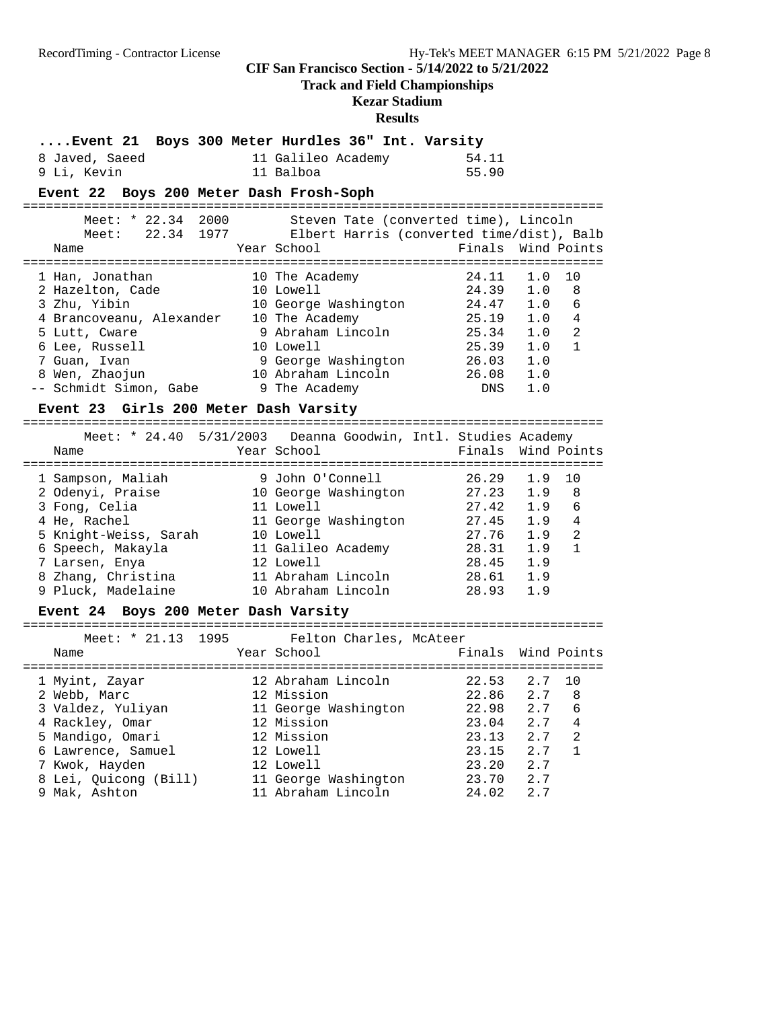**Track and Field Championships**

# **Kezar Stadium**

| Event 21 Boys 300 Meter Hurdles 36" Int. Varsity<br>8 Javed, Saeed<br>9 Li, Kevin<br>Event 22 Boys 200 Meter Dash Frosh-Soph                                                                                                         | 11 Galileo Academy<br>11 Balboa                                                                                                                                          | 54.11<br>55.90                                                               |                                                             |                                            |
|--------------------------------------------------------------------------------------------------------------------------------------------------------------------------------------------------------------------------------------|--------------------------------------------------------------------------------------------------------------------------------------------------------------------------|------------------------------------------------------------------------------|-------------------------------------------------------------|--------------------------------------------|
| Meet: * 22.34 2000<br>Meet: 22.34 1977 Elbert Harris (converted time/dist), Balb<br>Name                                                                                                                                             | Steven Tate (converted time), Lincoln<br>Year School                                                                                                                     | Finals                                                                       |                                                             | Wind Points                                |
| 1 Han, Jonathan<br>2 Hazelton, Cade 10 Lowell<br>3 Zhu, Yibin<br>4 Brancoveanu, Alexander 10 The Academy<br>5 Lutt, Cware<br>6 Lee, Russell<br>7 Guan, Ivan<br>8 Wen, Zhaojun<br>-- Schmidt Simon, Gabe 9 The Academy                | 10 The Academy<br>10 George Washington 24.47<br>10 The Academy 25.19<br>9 Abraham Lincoln 25.34<br>10 Lowell<br>9 George Washington<br>10 Abraham Lincoln                | 24.11<br>24.39<br>25.39<br>26.03<br>26.08<br>DNS                             | 1.0<br>1.0<br>1.0<br>1.0<br>1.0<br>1.0<br>1.0<br>1.0<br>1.0 | 10<br>8<br>6<br>4<br>2<br>$\mathbf{1}$     |
| Event 23 Girls 200 Meter Dash Varsity<br>Meet: * 24.40 5/31/2003 Deanna Goodwin, Intl. Studies Academy<br>Name                                                                                                                       | Year School                                                                                                                                                              | Finals                                                                       |                                                             | Wind Points                                |
| 1 Sampson, Maliah<br>2 Odenyi, Praise<br>3 Fong, Celia<br>4 He, Rachel<br>5 Knight-Weiss, Sarah 10 Lowell<br>6 Speech, Makayla<br>7 Larsen, Enya<br>8 Zhang, Christina<br>9 Pluck, Madelaine<br>Event 24 Boys 200 Meter Dash Varsity | 9 John O'Connell<br>10 George Washington 27.23<br>11 Lowell<br>11 George Washington<br>11 Galileo Academy 28.31<br>12 Lowell<br>11 Abraham Lincoln<br>10 Abraham Lincoln | 26.29<br>27.42<br>27.45<br>27.76 1.9<br>28.45 1.9<br>28.61 1.9<br>28.93      | 1.9<br>1.9<br>1.9<br>$1.9$ 4<br>1.9<br>1.9                  | 10<br>8<br>$\epsilon$<br>2<br>$\mathbf{1}$ |
| Meet: * 21.13 1995<br>Name                                                                                                                                                                                                           | Felton Charles, McAteer<br>Year School                                                                                                                                   | Finals Wind Points                                                           |                                                             |                                            |
| 1 Myint, Zayar<br>2 Webb, Marc 22.86 2.7 8<br>3 Valdez, Yuliyan<br>4 Rackley, Omar<br>5 Mandigo, Omari<br>6 Lawrence, Samuel<br>7 Kwok, Hayden<br>8 Lei, Quicong (Bill)<br>9 Mak, Ashton                                             | 12 Abraham Lincoln<br>11 George Washington<br>12 Mission<br>12 Mission<br>12 Lowell<br>12 Lowell<br>11 George Washington<br>11 Abraham Lincoln                           | $22.53$ $2.7$<br>22.98<br>23.04<br>23.13<br>23.15<br>23.20<br>23.70<br>24.02 | 2.7<br>2.7<br>2.7<br>2.7<br>2.7<br>2.7<br>2.7               | 10<br>6<br>4<br>2<br>1                     |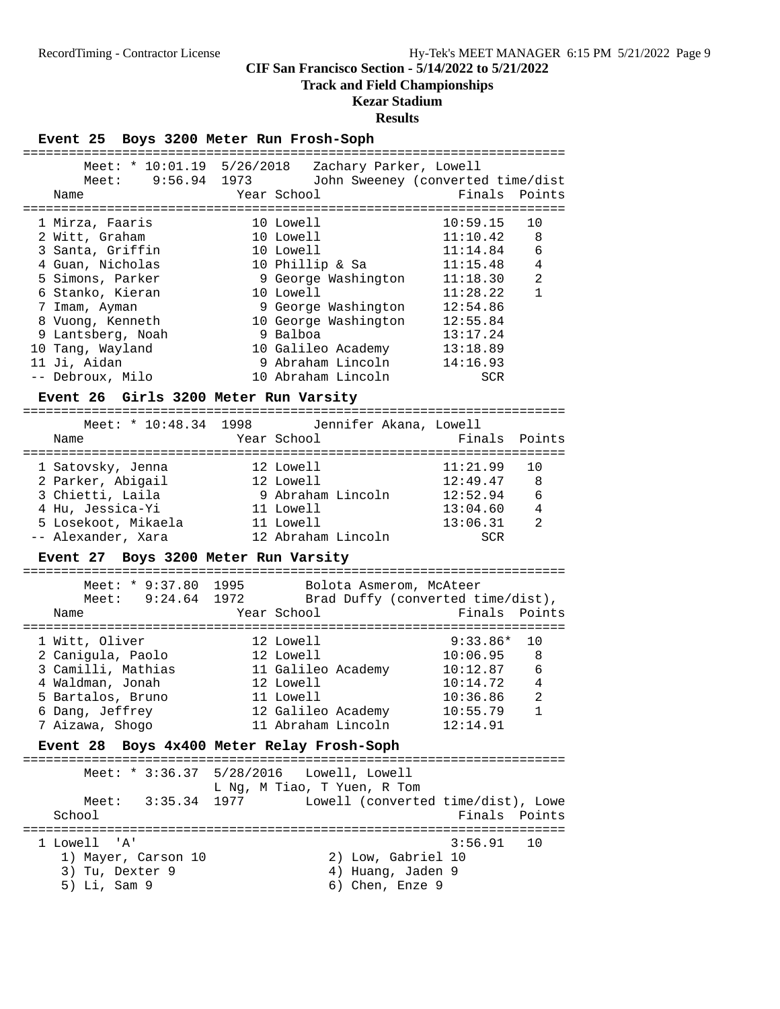# **Track and Field Championships**

# **Kezar Stadium**

# **Results**

**Event 25 Boys 3200 Meter Run Frosh-Soph**

|                                         | Meet: * $10:01.19$ $5/26/2018$ Zachary Parker, Lowell     |                                    |
|-----------------------------------------|-----------------------------------------------------------|------------------------------------|
|                                         | Meet: 9:56.94 1973 John Sweeney (converted time/dist      |                                    |
| Name                                    | Year School                                               | Finals<br>Points                   |
|                                         |                                                           |                                    |
| 1 Mirza, Faaris                         | 10 Lowell                                                 | 10:59.15<br>10                     |
| 2 Witt, Graham                          | 10 Lowell                                                 | 11:10.42<br>8                      |
| 3 Santa, Griffin                        | 10 Lowell                                                 | 6<br>11:14.84                      |
| 4 Guan, Nicholas                        | 10 Doweri<br>10 Phillip & Sa<br>9 George Washington       | $\overline{4}$<br>11:15.48         |
| 5 Simons, Parker                        |                                                           | 11:18.30<br>2                      |
| 6 Stanko, Kieran                        | 10 Lowell                                                 | 11:28.22<br>$\mathbf{1}$           |
| 7 Imam, Ayman                           | 9 George Washington                                       | 12:54.86                           |
| 8 Vuong, Kenneth                        | 10 George Washington 12:55.84                             |                                    |
| 9 Lantsberg, Noah                       | 9 Balboa                                                  | 13:17.24                           |
| 10 Tang, Wayland                        | 10 Galileo Academy<br>13:18.89 13:18.89<br>14:16.93 14:16 |                                    |
| 11 Ji, Aidan                            |                                                           |                                    |
| -- Debroux, Milo                        | 10 Abraham Lincoln                                        | SCR                                |
| Event 26 Girls 3200 Meter Run Varsity   |                                                           |                                    |
|                                         | Meet: * 10:48.34 1998 Jennifer Akana, Lowell              |                                    |
|                                         |                                                           |                                    |
| Name                                    | Year School                                               | Finals<br>Points                   |
| 1 Satovsky, Jenna                       | 12 Lowell                                                 | 11:21.99<br>10                     |
| 2 Parker, Abigail                       | 12 Lowell                                                 | 12:49.47<br>8                      |
| $\frac{2}{3}$ Chietti, Laila            | 9 Abraham Lincoln<br>11 Lowell                            | 12:52.94<br>13:04.60<br>6          |
| 4 Hu, Jessica-Yi                        |                                                           | 4                                  |
| 5 Losekoot, Mikaela 11 Lowell           |                                                           | 13:06.31<br>2                      |
| -- Alexander, Xara                      | 12 Abraham Lincoln                                        | SCR                                |
| Event 27 Boys 3200 Meter Run Varsity    |                                                           |                                    |
|                                         | Meet: * 9:37.80 1995 Bolota Asmerom, McAteer              |                                    |
|                                         | Meet: 9:24.64 1972 Brad Duffy (converted time/dist),      |                                    |
| Name                                    | Year School                                               | Finals<br>Points                   |
|                                         |                                                           |                                    |
| 1 Witt, Oliver                          | 12 Lowell                                                 | 9:33.86*<br>10                     |
|                                         |                                                           | 10:06.95<br>8                      |
| 2 Canigula, Paolo<br>3 Camilli, Mathias |                                                           | 6                                  |
| 4 Waldman, Jonah                        | 12 Lowell                                                 | 10:14.72<br>4                      |
| 5 Bartalos, Bruno                       | 11 Lowell                                                 | $\overline{a}$<br>10:36.86         |
| 6 Dang, Jeffrey                         | 12 Galileo Academy                                        | $\mathbf{1}$<br>10:55.79           |
| 7 Aizawa, Shogo                         | 11 Abraham Lincoln                                        | 12:14.91                           |
| Event 28                                | Boys 4x400 Meter Relay Frosh-Soph                         |                                    |
| ===============                         | ==================================                        | ========================           |
| Meet: $* 3:36.37$                       | Lowell, Lowell<br>5/28/2016                               |                                    |
| 3:35.34<br>Meet:                        | L Ng, M Tiao, T Yuen, R Tom<br>1977                       | Lowell (converted time/dist), Lowe |
| School                                  |                                                           | Finals Points                      |
|                                         |                                                           | ========================           |
| 1 Lowell<br>'A'                         |                                                           | 3:56.91<br>10                      |
| 1) Mayer, Carson 10                     | 2) Low, Gabriel 10                                        |                                    |
| 3) Tu, Dexter 9                         | 4) Huang, Jaden 9                                         |                                    |
| 5) Li, Sam 9                            | 6) Chen, Enze 9                                           |                                    |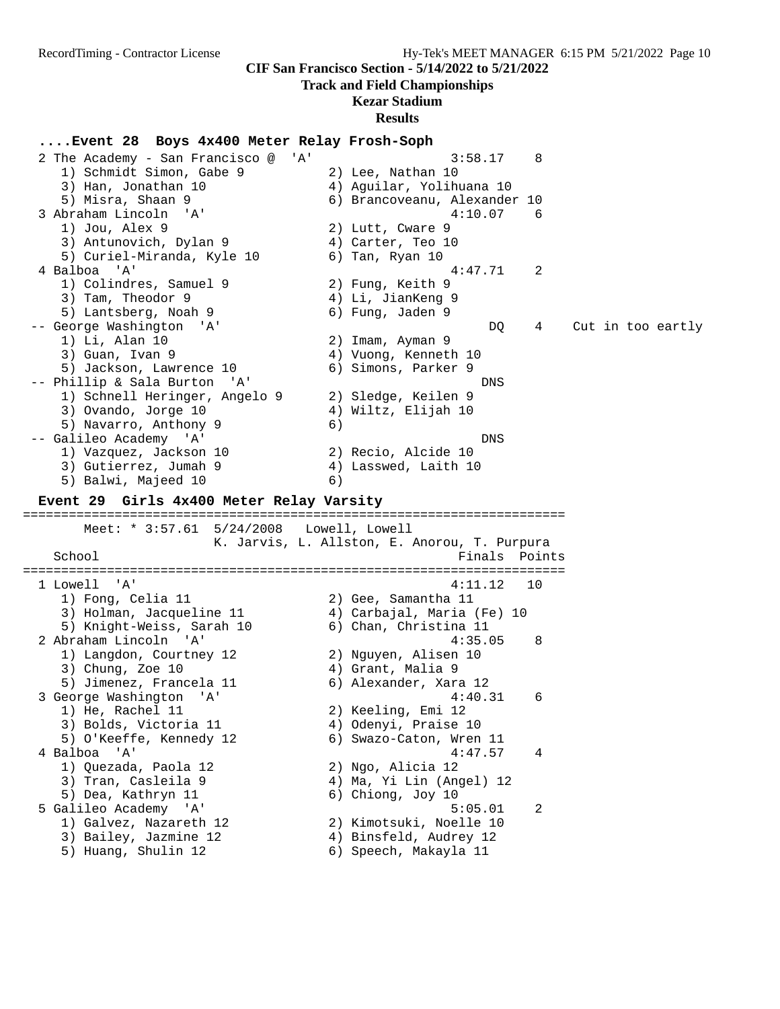# **Track and Field Championships**

# **Kezar Stadium**

### **Results**

**....Event 28 Boys 4x400 Meter Relay Frosh-Soph** 2 The Academy - San Francisco @ 'A' 3:58.17 8 1) Schmidt Simon, Gabe 9 2) Lee, Nathan 10 3) Han, Jonathan 10 4) Aguilar, Yolihuana 10 5) Misra, Shaan 9 6) Brancoveanu, Alexander 10 3 Abraham Lincoln 'A' 4:10.07 6 1) Jou, Alex 9 2) Lutt, Cware 9 3) Antunovich, Dylan 9 (4) Carter, Teo 10 5) Curiel-Miranda, Kyle 10 6) Tan, Ryan 10 4 Balboa 'A' 4:47.71 2 1) Colindres, Samuel 9 2) Fung, Keith 9 3) Tam, Theodor 9 (1988) 4) Li, JianKeng 9 5) Lantsberg, Noah 9 6) Fung, Jaden 9 -- George Washington 'A' DQ 4 Cut in too eartly 1) Li, Alan 10 2) Imam, Ayman 9 3) Guan, Ivan 9 4) Vuong, Kenneth 10 5) Jackson, Lawrence 10 6) Simons, Parker 9 -- Phillip & Sala Burton 'A' DNS 1) Schnell Heringer, Angelo 9 2) Sledge, Keilen 9 3) Ovando, Jorge 10 4) Wiltz, Elijah 10 5) Navarro, Anthony 9 (6) -- Galileo Academy 'A' DNS 1) Vazquez, Jackson 10 2) Recio, Alcide 10 3) Gutierrez, Jumah 9  $\hskip1cm \hskip 4.6 cm 4$ ) Lasswed, Laith 10 5) Balwi, Majeed 10 (6) **Event 29 Girls 4x400 Meter Relay Varsity** ======================================================================= Meet: \* 3:57.61 5/24/2008 Lowell, Lowell K. Jarvis, L. Allston, E. Anorou, T. Purpura School **Finals** Points **Points** ======================================================================= 1 Lowell 'A' 4:11.12 10 1) Fong, Celia 11 2) Gee, Samantha 11 3) Holman, Jacqueline 11 4) Carbajal, Maria (Fe) 10 5) Knight-Weiss, Sarah 10 6) Chan, Christina 11 2 Abraham Lincoln 'A' 4:35.05 8 1) Langdon, Courtney 12 2) Nguyen, Alisen 10 3) Chung, Zoe 10 (4) Grant, Malia 9 5) Jimenez, Francela 11 6) Alexander, Xara 12 3 George Washington 'A' 4:40.31 6 1) He, Rachel 11 2) Keeling, Emi 12 3) Bolds, Victoria 11  $\hskip10mm$  4) Odenyi, Praise 10 5) O'Keeffe, Kennedy 12 6) Swazo-Caton, Wren 11 4 Balboa 'A' 4:47.57 4 1) Quezada, Paola 12 2) Ngo, Alicia 12 3) Tran, Casleila 9 4) Ma, Yi Lin (Angel) 12 5) Dea, Kathryn 11 6) Chiong, Joy 10 5 Galileo Academy 'A' 5:05.01 2 1) Galvez, Nazareth 12 2) Kimotsuki, Noelle 10 3) Bailey, Jazmine 12 4) Binsfeld, Audrey 12 5) Huang, Shulin 12 6) Speech, Makayla 11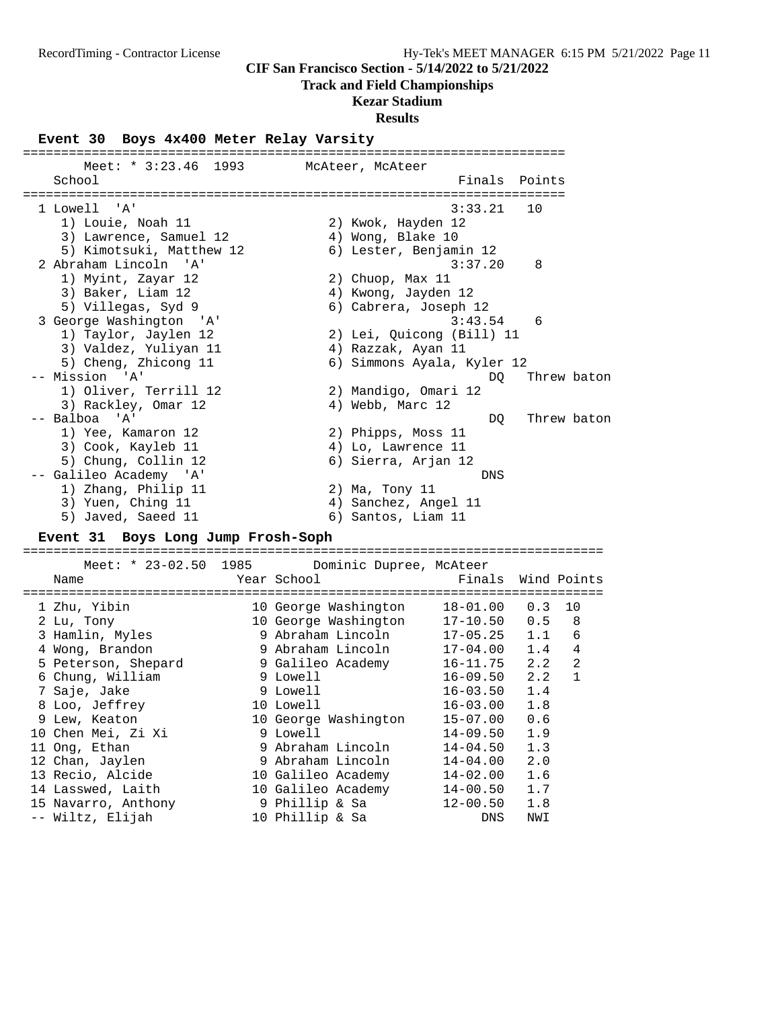#### **Track and Field Championships**

# **Kezar Stadium**

#### **Results**

#### **Event 30 Boys 4x400 Meter Relay Varsity**

======================================================================= Meet: \* 3:23.46 1993 McAteer, McAteer School **Finals** Points ======================================================================= 1 Lowell 'A' 3:33.21 10 1) Louie, Noah 11 2) Kwok, Hayden 12 3) Lawrence, Samuel 12  $\qquad \qquad$  4) Wong, Blake 10 5) Kimotsuki, Matthew 12 6) Lester, Benjamin 12 2 Abraham Lincoln 'A' 3:37.20 8 1) Myint, Zayar 12 2) Chuop, Max 11 3) Baker, Liam 12 4) Kwong, Jayden 12 5) Villegas, Syd 9 6) Cabrera, Joseph 12 3 George Washington 'A' 3:43.54 6 1) Taylor, Jaylen 12 2) Lei, Quicong (Bill) 11 3) Valdez, Yuliyan 11 4) Razzak, Ayan 11 5) Cheng, Zhicong 11 6) Simmons Ayala, Kyler 12 -- Mission 'A' DQ Threw baton 1) Oliver, Terrill 12 2) Mandigo, Omari 12 3) Rackley, Omar 12 (4) Webb, Marc 12 -- Balboa 'A' DQ Threw baton 1) Yee, Kamaron 12 2) Phipps, Moss 11 3) Cook, Kayleb 11 4) Lo, Lawrence 11 5) Chung, Collin 12 6) Sierra, Arjan 12 -- Galileo Academy 'A' DNS 1) Zhang, Philip 11 2) Ma, Tony 11 3) Yuen, Ching 11 (4) Sanchez, Angel 11 5) Javed, Saeed 11 6) Santos, Liam 11

#### **Event 31 Boys Long Jump Frosh-Soph**

============================================================================

| Meet: * 23-02.50 1985         | Dominic Dupree, McAteer            |              |     |                |
|-------------------------------|------------------------------------|--------------|-----|----------------|
| Name<br>--------------------- | Year School<br>------------------- | Finals       |     | Wind Points    |
| 1 Zhu, Yibin                  | 10 George Washington               | 18-01.00     | 0.3 | 10             |
| 2 Lu, Tony                    | 10 George Washington               | $17 - 10.50$ | 0.5 | 8              |
| 3 Hamlin, Myles               | 9 Abraham Lincoln                  | $17 - 05.25$ | 1.1 | 6              |
| 4 Wong, Brandon               | 9 Abraham Lincoln                  | $17 - 04.00$ | 1.4 | 4              |
| 5 Peterson, Shepard           | 9 Galileo Academy                  | $16 - 11.75$ | 2.2 | $\overline{2}$ |
| 6 Chung, William              | 9 Lowell                           | $16 - 09.50$ | 2.2 | $\mathbf 1$    |
| 7 Saje, Jake                  | 9 Lowell                           | $16 - 03.50$ | 1.4 |                |
| 8 Loo, Jeffrey                | 10 Lowell                          | $16 - 03.00$ | 1.8 |                |
| 9 Lew, Keaton                 | 10 George Washington               | $15 - 07.00$ | 0.6 |                |
| 10 Chen Mei, Zi Xi            | 9 Lowell                           | 14-09.50     | 1.9 |                |
| 11 Ong, Ethan                 | 9 Abraham Lincoln                  | $14 - 04.50$ | 1.3 |                |
| 12 Chan, Jaylen               | 9 Abraham Lincoln                  | 14-04.00     | 2.0 |                |
| 13 Recio, Alcide              | 10 Galileo Academy                 | $14 - 02.00$ | 1.6 |                |
| 14 Lasswed, Laith             | 10 Galileo Academy                 | 14-00.50     | 1.7 |                |
| 15 Navarro, Anthony           | 9 Phillip & Sa                     | 12-00.50     | 1.8 |                |
| -- Wiltz, Elijah              | 10 Phillip & Sa                    | <b>DNS</b>   | NWI |                |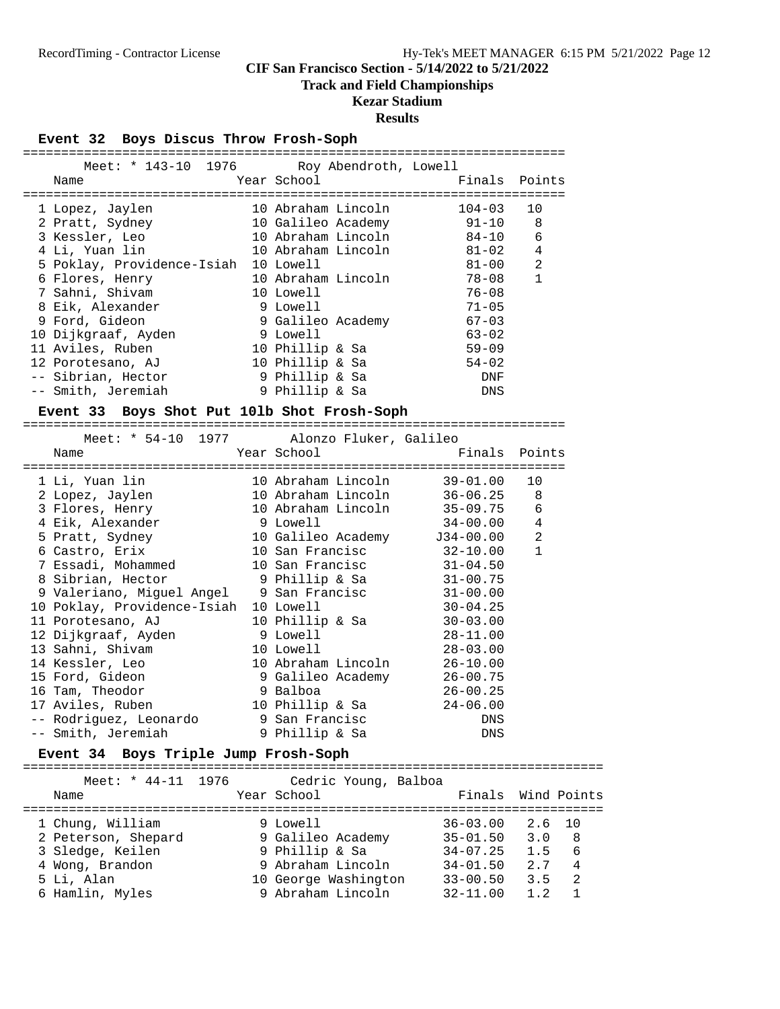#### **Track and Field Championships**

### **Kezar Stadium**

#### **Results**

#### **Event 32 Boys Discus Throw Frosh-Soph**

| Meet: * 143-10 1976 Roy Abendroth, Lowell |                    |               |                |
|-------------------------------------------|--------------------|---------------|----------------|
| Name                                      | Year School        | Finals Points |                |
| 1 Lopez, Jaylen                           | 10 Abraham Lincoln | 104-03        | 10             |
| 2 Pratt, Sydney                           | 10 Galileo Academy | $91 - 10$     | 8              |
| 3 Kessler, Leo                            | 10 Abraham Lincoln | 84-10         | 6              |
| 4 Li, Yuan lin                            | 10 Abraham Lincoln | $81 - 02$     | 4              |
| 5 Poklay, Providence-Isiah                | 10 Lowell          | 81-00         | $\mathfrak{D}$ |
| 6 Flores, Henry                           | 10 Abraham Lincoln | 78-08         | 1              |
| 7 Sahni, Shivam                           | 10 Lowell          | $76 - 08$     |                |
| 8 Eik, Alexander                          | 9 Lowell           | $71 - 05$     |                |
| 9 Ford, Gideon                            | 9 Galileo Academy  | $67 - 03$     |                |
| 10 Dijkgraaf, Ayden                       | 9 Lowell           | $63 - 02$     |                |
| 11 Aviles, Ruben                          | 10 Phillip & Sa    | $59 - 09$     |                |
| 12 Porotesano, AJ                         | 10 Phillip & Sa    | $54 - 02$     |                |
| -- Sibrian, Hector                        | 9 Phillip & Sa     | DNF           |                |
| -- Smith, Jeremiah                        | 9 Phillip & Sa     | DNS           |                |

#### **Event 33 Boys Shot Put 10lb Shot Frosh-Soph**

=======================================================================

| Meet: * 54-10 1977 Alonzo Fluker, Galileo                                  |                                   |                |              |
|----------------------------------------------------------------------------|-----------------------------------|----------------|--------------|
| Name                                                                       | Year School The Manuscript School | Finals Points  |              |
|                                                                            |                                   |                |              |
| 1 Li, Yuan lin                       10 Abraham Lincoln           39-01.00 |                                   |                | 10           |
| 2 Lopez, Jaylen                 10 Abraham Lincoln         36-06.25     8  |                                   |                |              |
| 3 Flores, Henry                                                            | 10 Abraham Lincoln                | $35 - 09.75$ 6 |              |
| 4 Eik, Alexander                   9 Lowell                                |                                   | $34 - 00.00$   | $\sqrt{4}$   |
| 5 Pratt, Sydney 10 Galileo Academy J34-00.00                               |                                   |                | 2            |
| 6 Castro, Erix 10 San Francisc 32-10.00                                    |                                   |                | $\mathbf{1}$ |
|                                                                            |                                   | $31 - 04.50$   |              |
| 8 Sibrian, Hector                                                          | 9 Phillip & Sa 31-00.75           |                |              |
| 9 Valeriano, Miguel Angel 9 San Francisc                                   |                                   | $31 - 00.00$   |              |
| 10 Poklay, Providence-Isiah 10 Lowell                                      |                                   | $30 - 04.25$   |              |
| 11 Porotesano, AJ 10 Phillip & Sa                                          |                                   | $30 - 03.00$   |              |
| 12 Dijkgraaf, Ayden                 9 Lowell                               |                                   | $28 - 11.00$   |              |
| 13 Sahni, Shivam                                                           | 10 Lowell                         | $28 - 03.00$   |              |
| 14 Kessler, Leo                         10 Abraham Lincoln                 |                                   | $26 - 10.00$   |              |
| 15 Ford, Gideon 15 9 Galileo Academy                                       |                                   | 26-00.75       |              |
| 16 Tam, Theodor 5 9 Balboa                                                 |                                   | 26-00.25       |              |
| 17 Aviles, Ruben 10 Phillip & Sa                                           |                                   | $24 - 06.00$   |              |
| -- Rodriquez, Leonardo       9 San Francisc                                |                                   | DNS            |              |
| -- Smith, Jeremiah                                                         | 9 Phillip & Sa                    | DNS            |              |
|                                                                            |                                   |                |              |

#### **Event 34 Boys Triple Jump Frosh-Soph**

============================================================================ Meet: \* 44-11 1976 Cedric Young, Balboa Name The Year School The Finals Wind Points ============================================================================ 1 Chung, William 9 Lowell 36-03.00 2.6 10 2 Peterson, Shepard 9 Galileo Academy 35-01.50 3.0 8 3 Sledge, Keilen 9 Phillip & Sa 34-07.25 1.5 6 4 Wong, Brandon 9 Abraham Lincoln 34-01.50 2.7 4 5 Li, Alan 10 George Washington 33-00.50 3.5 2 6 Hamlin, Myles 9 Abraham Lincoln 32-11.00 1.2 1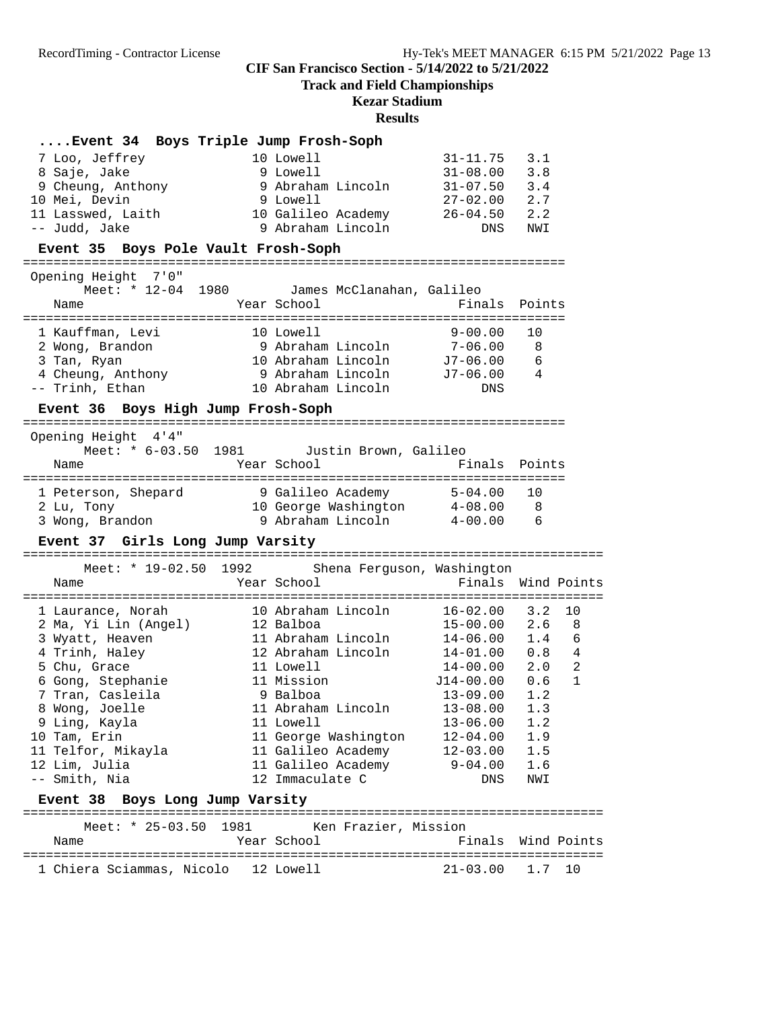**Track and Field Championships**

# **Kezar Stadium**

|                                              |  | Event 34 Boys Triple Jump Frosh-Soph |                                |                                                                                                              |        |              |  |  |
|----------------------------------------------|--|--------------------------------------|--------------------------------|--------------------------------------------------------------------------------------------------------------|--------|--------------|--|--|
| 7 Loo, Jeffrey                               |  | 10 Lowell                            |                                | $31 - 11.75$                                                                                                 | 3.1    |              |  |  |
| 8 Saje, Jake                                 |  | 9 Lowell                             |                                |                                                                                                              |        |              |  |  |
| 9 Cheung, Anthony                            |  |                                      | 9 Abraham Lincoln              | $31-08.00$ $3.8$<br>$31-07.50$ $3.4$                                                                         |        |              |  |  |
| 10 Mei, Devin                                |  | 9 Lowell                             |                                | $27 - 02.00$ 2.7                                                                                             |        |              |  |  |
| 10 Galileo Academy<br>11 Lasswed, Laith      |  |                                      |                                | $26-04.50$                                                                                                   | 2.2    |              |  |  |
| -- Judd, Jake                                |  |                                      | 9 Abraham Lincoln              | DNS                                                                                                          | NWI    |              |  |  |
| Event 35 Boys Pole Vault Frosh-Soph          |  |                                      |                                |                                                                                                              |        |              |  |  |
|                                              |  |                                      |                                |                                                                                                              |        |              |  |  |
| Opening Height 7'0"                          |  |                                      |                                |                                                                                                              |        |              |  |  |
| Meet: * 12-04 1980 James McClanahan, Galileo |  |                                      |                                |                                                                                                              |        |              |  |  |
| Name                                         |  | Year School                          |                                | Finals                                                                                                       | Points |              |  |  |
|                                              |  |                                      |                                |                                                                                                              |        |              |  |  |
| 1 Kauffman, Levi                             |  |                                      | 10 Lowell<br>9 Abraham Lincoln | $9 - 00.00$                                                                                                  | 10     |              |  |  |
| 2 Wong, Brandon<br>3 Tan, Ryan               |  |                                      |                                | 7-06.00<br>10 Abraham Lincoln J7-06.00                                                                       | 8<br>6 |              |  |  |
| 4 Cheung, Anthony                            |  |                                      | 9 Abraham Lincoln              | $J7-06.00$                                                                                                   | 4      |              |  |  |
| -- Trinh, Ethan                              |  |                                      | 10 Abraham Lincoln             | DNS                                                                                                          |        |              |  |  |
|                                              |  |                                      |                                |                                                                                                              |        |              |  |  |
| Event 36 Boys High Jump Frosh-Soph           |  |                                      |                                |                                                                                                              |        |              |  |  |
| Opening Height 4'4"                          |  |                                      |                                |                                                                                                              |        |              |  |  |
| Meet: * 6-03.50 1981                         |  |                                      | Justin Brown, Galileo          |                                                                                                              |        |              |  |  |
| Name                                         |  | Year School                          |                                | Finals                                                                                                       | Points |              |  |  |
|                                              |  |                                      |                                |                                                                                                              |        |              |  |  |
| 1 Peterson, Shepard                          |  |                                      | 9 Galileo Academy              | $5-04.00$                                                                                                    | 10     |              |  |  |
| 2 Lu, Tony                                   |  |                                      |                                | 10 George Washington 4-08.00 8                                                                               |        |              |  |  |
| 3 Wong, Brandon                              |  |                                      | 9 Abraham Lincoln              | $4\hbox{--}00$ . $00$                                                                                        | -6     |              |  |  |
|                                              |  |                                      |                                |                                                                                                              |        |              |  |  |
| Event 37 Girls Long Jump Varsity             |  |                                      |                                |                                                                                                              |        |              |  |  |
|                                              |  |                                      |                                |                                                                                                              |        |              |  |  |
| Meet: * 19-02.50 1992                        |  |                                      |                                | Shena Ferguson, Washington                                                                                   |        |              |  |  |
| Name                                         |  | Year School                          |                                | Finals Wind Points                                                                                           |        |              |  |  |
|                                              |  |                                      |                                | :=========================                                                                                   |        |              |  |  |
| 1 Laurance, Norah                            |  |                                      | 10 Abraham Lincoln             | $16 - 02.00$                                                                                                 | 3.2    | 10           |  |  |
| 2 Ma, Yi Lin (Angel)                         |  | 12 Balboa                            |                                | $15 - 00.00$ 2.6                                                                                             |        | 8            |  |  |
| 3 Wyatt, Heaven                              |  |                                      | 11 Abraham Lincoln             |                                                                                                              |        |              |  |  |
| 4 Trinh, Haley                               |  |                                      | 12 Abraham Lincoln             |                                                                                                              |        |              |  |  |
| 5 Chu, Grace                                 |  | 11 Lowell                            |                                | $\begin{array}{cccc} 14\!-\!06.00 & 1.4 & 6 \\ 14\!-\!01.00 & 0.8 & 4 \\ 14\!-\!00.00 & 2.0 & 2 \end{array}$ |        |              |  |  |
| 6 Gong, Stephanie                            |  | 11 Mission                           |                                | J14-00.00                                                                                                    | 0.6    | $\mathbf{1}$ |  |  |
| 7 Tran, Casleila                             |  | 9 Balboa                             |                                | $13 - 09.00$                                                                                                 | 1.2    |              |  |  |
| 8 Wong, Joelle                               |  | 11 Abraham Lincoln                   |                                | $13 - 08.00$                                                                                                 | 1.3    |              |  |  |
| 9 Ling, Kayla                                |  | 11 Lowell                            |                                | $13 - 06.00$                                                                                                 | 1.2    |              |  |  |
| 10 Tam, Erin                                 |  |                                      | 11 George Washington           | $12 - 04.00$                                                                                                 | 1.9    |              |  |  |
| 11 Telfor, Mikayla                           |  | 11 Galileo Academy                   |                                | $12 - 03.00$                                                                                                 | 1.5    |              |  |  |
| 12 Lim, Julia                                |  |                                      | 11 Galileo Academy             | $9 - 04.00$                                                                                                  | 1.6    |              |  |  |
| -- Smith, Nia                                |  | 12 Immaculate C                      |                                | DNS                                                                                                          | NWI    |              |  |  |
| Event 38 Boys Long Jump Varsity              |  |                                      |                                |                                                                                                              |        |              |  |  |
|                                              |  |                                      |                                |                                                                                                              |        |              |  |  |
| Meet: $* 25-03.50$<br>1981                   |  |                                      | Ken Frazier, Mission           |                                                                                                              |        |              |  |  |
| Name                                         |  | Year School                          |                                | Finals                                                                                                       |        | Wind Points  |  |  |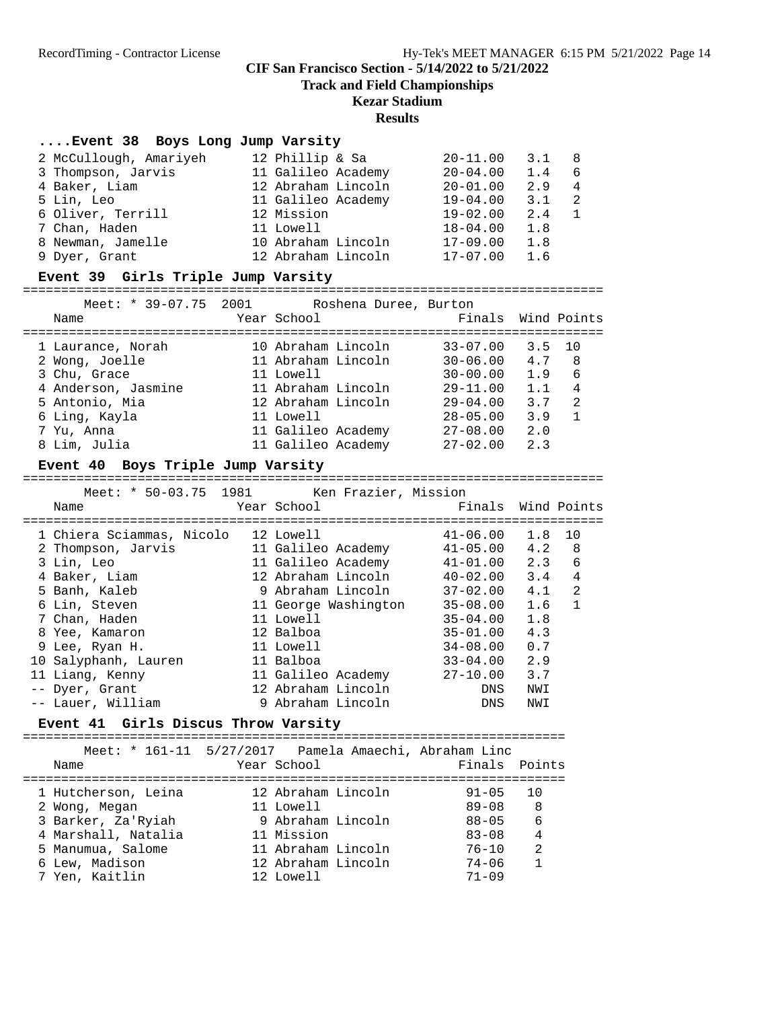**Track and Field Championships**

# **Kezar Stadium**

#### **Results**

# **....Event 38 Boys Long Jump Varsity**

| 2 McCullough, Amariyeh | 12 Phillip & Sa    | $20 - 11.00$ | 3.1 | - 8            |
|------------------------|--------------------|--------------|-----|----------------|
| 3 Thompson, Jarvis     | 11 Galileo Academy | $20 - 04.00$ | 1.4 | - 6            |
|                        |                    |              |     |                |
| 4 Baker, Liam          | 12 Abraham Lincoln | $20 - 01.00$ | 2.9 | $\overline{4}$ |
| 5 Lin, Leo             | 11 Galileo Academy | $19 - 04.00$ | 3.1 | $\overline{2}$ |
| 6 Oliver, Terrill      | 12 Mission         | $19 - 02.00$ | 2.4 | $\overline{1}$ |
| 7 Chan, Haden          | 11 Lowell          | $18 - 04.00$ | 1.8 |                |
| 8 Newman, Jamelle      | 10 Abraham Lincoln | $17 - 09.00$ | 1.8 |                |
| 9 Dyer, Grant          | 12 Abraham Lincoln | $17 - 07.00$ | 1.6 |                |
|                        |                    |              |     |                |

# **Event 39 Girls Triple Jump Varsity**

| Meet: * 39-07.75 2001<br>Name | Roshena Duree, Burton<br>Year School | Finals Wind Points |        |                |
|-------------------------------|--------------------------------------|--------------------|--------|----------------|
| 1 Laurance, Norah             | 10 Abraham Lincoln                   | $33 - 07.00$       | 3.5 10 |                |
| 2 Wong, Joelle                | 11 Abraham Lincoln                   | $30 - 06.00$       | 4.7    | - 8            |
| 3 Chu, Grace                  | 11 Lowell                            | $30 - 00.00$       | 1.9    | - 6            |
| 4 Anderson, Jasmine           | 11 Abraham Lincoln                   | $29 - 11.00$       | 1.1    | 4              |
| 5 Antonio, Mia                | 12 Abraham Lincoln                   | $29 - 04.00$       | 3.7    | $\mathfrak{D}$ |
| 6 Ling, Kayla                 | 11 Lowell                            | $28 - 05.00$       | 3.9    |                |
| 7 Yu, Anna                    | 11 Galileo Academy                   | $27 - 08.00$       | 2.0    |                |
| 8 Lim, Julia                  | 11 Galileo Academy                   | $27 - 02.00$       | 2.3    |                |

# **Event 40 Boys Triple Jump Varsity**

============================================================================

| Meet: * 50-03.75 1981 Ken Frazier, Mission |                      |                    |     |              |
|--------------------------------------------|----------------------|--------------------|-----|--------------|
| Name                                       | Year School          | Finals Wind Points |     |              |
|                                            |                      |                    |     |              |
| 1 Chiera Sciammas, Nicolo 12 Lowell        |                      | 41-06.00           | 1.8 | 10           |
| 2 Thompson, Jarvis                         | 11 Galileo Academy   | $41 - 05.00$       | 4.2 | 8            |
| 3 Lin, Leo                                 | 11 Galileo Academy   | $41 - 01.00$       | 2.3 | 6            |
| 4 Baker, Liam                              | 12 Abraham Lincoln   | $40 - 02.00$       | 3.4 | 4            |
| 5 Banh, Kaleb                              | 9 Abraham Lincoln    | 37-02.00           | 4.1 | 2            |
| 6 Lin, Steven                              | 11 George Washington | $35 - 08.00$       | 1.6 | $\mathbf{1}$ |
| 7 Chan, Haden                              | 11 Lowell            | $35 - 04.00$       | 1.8 |              |
| 8 Yee, Kamaron                             | 12 Balboa            | $35 - 01.00$       | 4.3 |              |
| 9 Lee, Ryan H.                             | 11 Lowell            | 34-08.00           | 0.7 |              |
| 10 Salyphanh, Lauren                       | 11 Balboa            | $33 - 04.00$       | 2.9 |              |
| 11 Liang, Kenny                            | 11 Galileo Academy   | 27-10.00           | 3.7 |              |
| -- Dyer, Grant                             | 12 Abraham Lincoln   | DNS                | NWI |              |
| -- Lauer, William                          | 9 Abraham Lincoln    | DNS                | NWI |              |

# **Event 41 Girls Discus Throw Varsity**

|                     | Meet: * 161-11 5/27/2017 Pamela Amaechi, Abraham Linc |               |                |
|---------------------|-------------------------------------------------------|---------------|----------------|
| Name                | Year School                                           | Finals Points |                |
|                     |                                                       |               |                |
| 1 Hutcherson, Leina | 12 Abraham Lincoln                                    | $91 - 05$     | 1 O            |
| 2 Wong, Megan       | 11 Lowell                                             | $89 - 08$     | -8             |
| 3 Barker, Za'Ryiah  | 9 Abraham Lincoln                                     | $88 - 05$     | 6              |
| 4 Marshall, Natalia | 11 Mission                                            | $83 - 08$     | 4              |
| 5 Manumua, Salome   | 11 Abraham Lincoln                                    | $76 - 10$     | $\mathfrak{D}$ |
| 6 Lew, Madison      | 12 Abraham Lincoln                                    | $74 - 06$     |                |
| 7 Yen, Kaitlin      | 12 Lowell                                             | $71 - 09$     |                |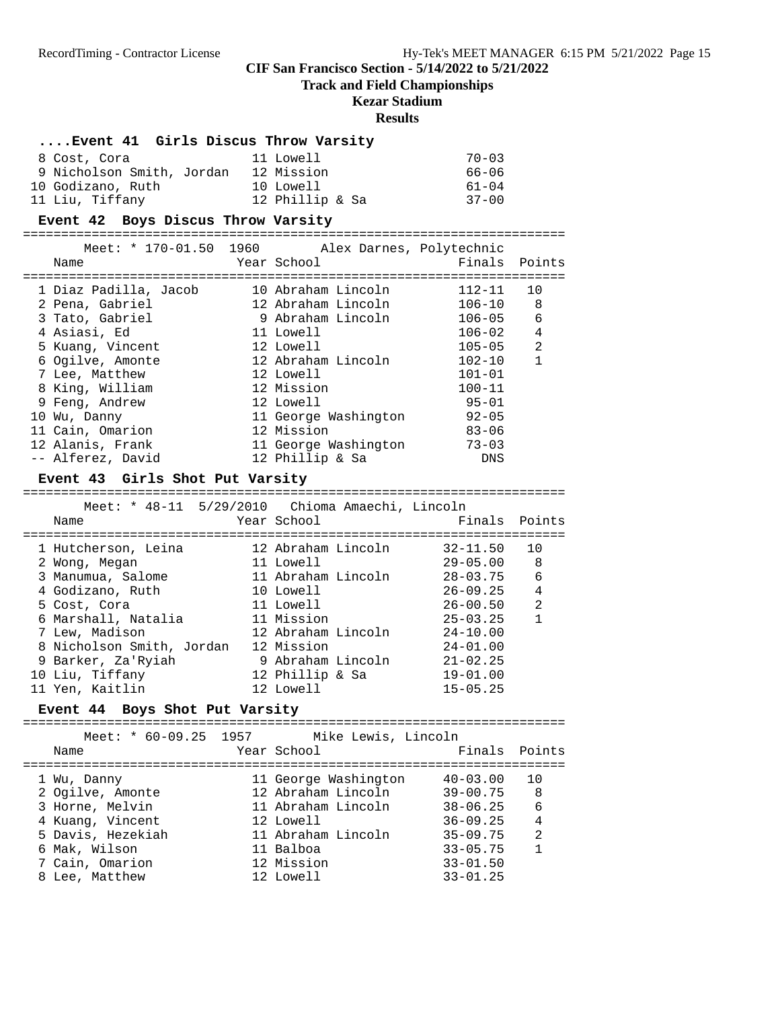#### **Track and Field Championships**

### **Kezar Stadium**

#### **Results**

# **....Event 41 Girls Discus Throw Varsity**

| 8 Cost, Cora              | 11 Lowell       | $70 - 03$ |
|---------------------------|-----------------|-----------|
| 9 Nicholson Smith, Jordan | 12 Mission      | 66–06     |
| 10 Godizano, Ruth         | 10 Lowell       | $61 - 04$ |
| 11 Liu, Tiffany           | 12 Phillip & Sa | $37 - 00$ |

#### **Event 42 Boys Discus Throw Varsity**

=======================================================================

|                                                    | Meet: * 170-01.50 1960 Alex Darnes, Polytechnic |               |                |
|----------------------------------------------------|-------------------------------------------------|---------------|----------------|
| Name                                               | Year School                                     | Finals Points |                |
| =========================<br>1 Diaz Padilla, Jacob | =======================<br>10 Abraham Lincoln   | 112-11        | 10             |
| 2 Pena, Gabriel                                    | 12 Abraham Lincoln                              | $106 - 10$ 8  |                |
| 3 Tato, Gabriel                                    | 9 Abraham Lincoln                               | $106 - 05$    | 6              |
| 4 Asiasi, Ed                                       | 11 Lowell                                       | $106 - 02$    | $\overline{4}$ |
| 5 Kuang, Vincent                                   | 12 Lowell                                       | $105 - 05$    | $\mathfrak{D}$ |
| 6 Ogilve, Amonte                                   | 12 Abraham Lincoln                              | $102 - 10$    | $\overline{1}$ |
| 7 Lee, Matthew                                     | 12 Lowell                                       | $101 - 01$    |                |
| 8 King, William                                    | 12 Mission                                      | $100 - 11$    |                |
| 9 Feng, Andrew                                     | 12 Lowell                                       | $95 - 01$     |                |
| 10 Wu, Danny                                       | 11 George Washington                            | $92 - 05$     |                |
| 11 Cain, Omarion                                   | 12 Mission                                      | $83 - 06$     |                |
| 12 Alanis, Frank                                   | 11 George Washington                            | $73 - 03$     |                |
| -- Alferez, David                                  | 12 Phillip & Sa                                 | DNS           |                |

#### **Event 43 Girls Shot Put Varsity**

#### =======================================================================

| Meet: * 48-11 5/29/2010 Chioma Amaechi, Lincoln<br>Name | Year School        | Finals Points |                |
|---------------------------------------------------------|--------------------|---------------|----------------|
|                                                         |                    |               |                |
| 1 Hutcherson, Leina                                     | 12 Abraham Lincoln | $32 - 11.50$  | 10             |
| 2 Wong, Megan                                           | 11 Lowell          | $29 - 05.00$  | - 8            |
| 3 Manumua, Salome                                       | 11 Abraham Lincoln | $28 - 03.75$  | - 6            |
| 4 Godizano, Ruth                                        | 10 Lowell          | $26 - 09.25$  | $\overline{4}$ |
| 5 Cost, Cora                                            | 11 Lowell          | $26 - 00.50$  | $\mathfrak{D}$ |
| 6 Marshall, Natalia                                     | 11 Mission         | $25 - 03.25$  | 1              |
| 7 Lew, Madison                                          | 12 Abraham Lincoln | $24 - 10.00$  |                |
| 8 Nicholson Smith, Jordan                               | 12 Mission         | $24 - 01.00$  |                |
| 9 Barker, Za'Ryiah                                      | 9 Abraham Lincoln  | $21 - 02.25$  |                |
| 10 Liu, Tiffany                                         | 12 Phillip & Sa    | $19 - 01.00$  |                |
| 11 Yen, Kaitlin                                         | 12 Lowell          | $15 - 05.25$  |                |

#### **Event 44 Boys Shot Put Varsity**

======================================================================= Meet: \* 60-09.25 1957 Mike Lewis, Lincoln<br>Name Year School F Year School **Finals** Points ======================================================================= 1 Wu, Danny 11 George Washington 40-03.00 10 2 Ogilve, Amonte 12 Abraham Lincoln 39-00.75 8 3 Horne, Melvin 11 Abraham Lincoln 38-06.25 6 4 Kuang, Vincent 12 Lowell 36-09.25 4 5 Davis, Hezekiah 11 Abraham Lincoln 35-09.75 2 6 Mak, Wilson 11 Balboa 33-05.75 1 7 Cain, Omarion 12 Mission 33-01.50 8 Lee, Matthew 12 Lowell 33-01.25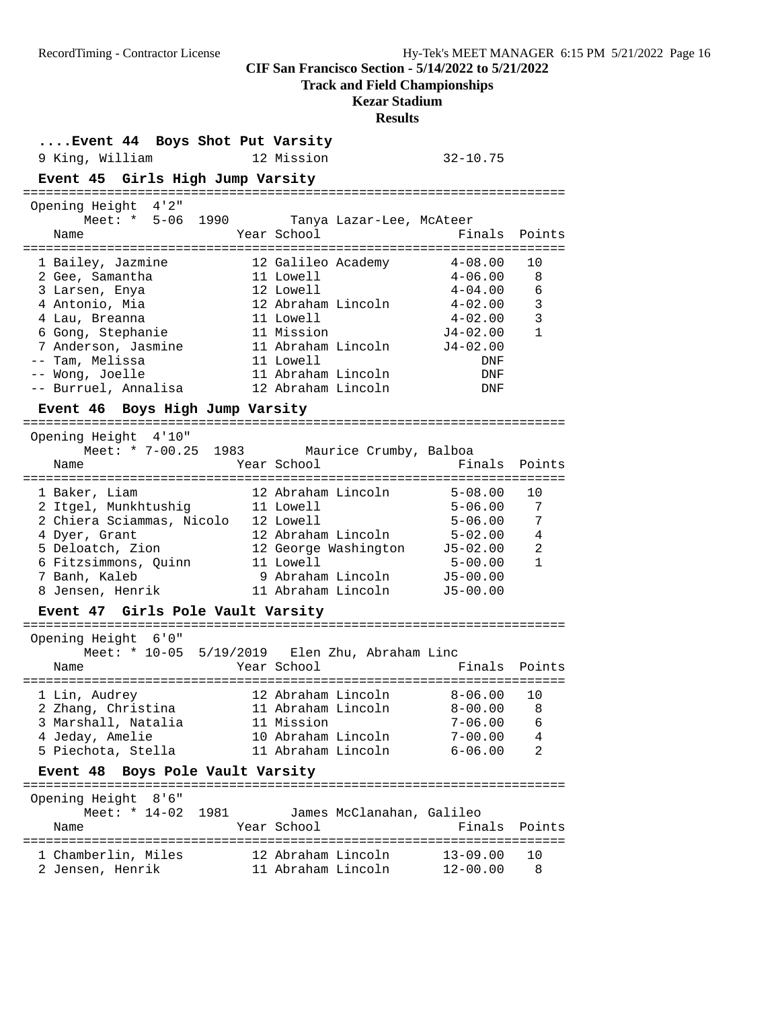**Track and Field Championships**

### **Kezar Stadium**

| Event 44 Boys Shot Put Varsity                                      |                                                                           |                                       |                                |
|---------------------------------------------------------------------|---------------------------------------------------------------------------|---------------------------------------|--------------------------------|
| 9 King, William                                                     | 12 Mission                                                                | $32 - 10.75$                          |                                |
| Event 45 Girls High Jump Varsity<br>:============================== |                                                                           |                                       |                                |
| Opening Height 4'2"                                                 |                                                                           |                                       |                                |
| Meet: * 5-06 1990<br>Name                                           | Tanya Lazar-Lee, McAteer<br>Year School                                   | Finals                                | Points                         |
| 1 Bailey, Jazmine                                                   | 12 Galileo Academy                                                        | $4 - 08.00$                           | 10                             |
| 2 Gee, Samantha                                                     | 11 Lowell                                                                 | $4 - 06.00$                           | 8                              |
| 3 Larsen, Enya                                                      | 12 Lowell                                                                 | $4 - 04.00$                           | 6                              |
| 4 Antonio, Mia                                                      | 12 Abraham Lincoln                                                        | 4-02.00                               | $\mathbf{3}$                   |
| 4 Lau, Breanna                                                      | 11 Lowell                                                                 | 4-02.00                               | 3                              |
| 6 Gong, Stephanie                                                   | 11 Mission                                                                | $J4-02.00$                            | $\mathbf{1}$                   |
| 7 Anderson, Jasmine                                                 | 11 Abraham Lincoln<br>11 Lowell                                           | $J4 - 02.00$                          |                                |
| -- Tam, Melissa<br>-- Wong, Joelle                                  | 11 Abraham Lincoln                                                        | DNF<br>DNF                            |                                |
| -- Burruel, Annalisa                                                | 12 Abraham Lincoln                                                        | DNF                                   |                                |
| Event 46 Boys High Jump Varsity                                     |                                                                           |                                       |                                |
| =====================                                               |                                                                           |                                       |                                |
| Opening Height 4'10"<br>Meet: * 7-00.25 1983 Maurice Crumby, Balboa |                                                                           |                                       |                                |
| Name                                                                | Year School                                                               | Finals                                | Points                         |
|                                                                     |                                                                           |                                       |                                |
| 1 Baker, Liam                                                       | 12 Abraham Lincoln                                                        | $5 - 08.00$                           | 10                             |
| 2 Itgel, Munkhtushig 11 Lowell                                      |                                                                           | 5-06.00                               | 7                              |
| 2 Chiera Sciammas, Nicolo 12 Lowell                                 |                                                                           | $5 - 06.00$                           | 7                              |
| 4 Dyer, Grant                                                       | 12 Abraham Lincoln<br>12 Abranam Lincoin<br>12 George Washington 15-02.00 | 5-02.00                               | 4                              |
| 5 Deloatch, Zion                                                    |                                                                           |                                       | $\overline{2}$<br>$\mathbf{1}$ |
| 6 Fitzsimmons, Quinn<br>7 Banh, Kaleb                               | 11 Lowell<br>9 Abraham Lincoln J5-00.00                                   | $5 - 00.00$                           |                                |
| 8 Jensen, Henrik                                                    | 11 Abraham Lincoln                                                        | $J5 - 00.00$                          |                                |
| Event 47 Girls Pole Vault Varsity                                   |                                                                           |                                       |                                |
|                                                                     |                                                                           |                                       |                                |
| 6'0"<br>Opening Height                                              |                                                                           |                                       |                                |
| Meet: $*$ 10-05 5/19/2019 Elen Zhu, Abraham Linc                    |                                                                           |                                       |                                |
| Name                                                                | Year School                                                               | Finals<br>:========================== | Points                         |
| 1 Lin, Audrey                                                       | 12 Abraham Lincoln                                                        | $8 - 06.00$                           | 10                             |
| 2 Zhang, Christina                                                  | 11 Abraham Lincoln                                                        | $8 - 00.00$                           | 8                              |
| 3 Marshall, Natalia                                                 | 11 Mission                                                                | $7 - 06.00$                           | 6                              |
| 4 Jeday, Amelie                                                     | 10 Abraham Lincoln                                                        | $7 - 00.00$                           | 4                              |
| 5 Piechota, Stella                                                  | 11 Abraham Lincoln                                                        | $6 - 06.00$                           | $\overline{2}$                 |
| Event 48 Boys Pole Vault Varsity                                    |                                                                           |                                       |                                |
| Opening Height<br>8'6''                                             |                                                                           |                                       |                                |
| 1981<br>Meet: * $14-02$                                             | James McClanahan, Galileo                                                 |                                       |                                |
| Name                                                                | Year School                                                               | Finals                                | Points                         |
|                                                                     |                                                                           |                                       |                                |
| 1 Chamberlin, Miles                                                 | 12 Abraham Lincoln                                                        | $13 - 09.00$                          | 10                             |
| 2 Jensen, Henrik                                                    | 11 Abraham Lincoln                                                        | $12 - 00.00$                          | 8                              |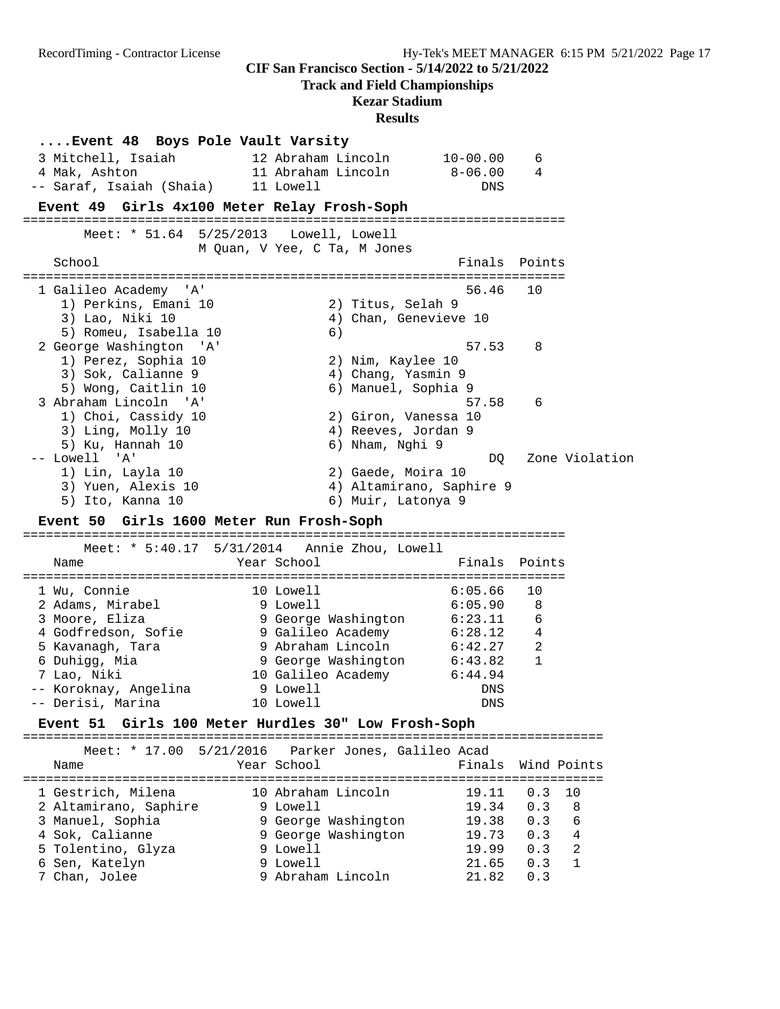**Track and Field Championships**

### **Kezar Stadium**

| 3 Mitchell, Isaiah<br>4 Mak, Ashton                                                                                  | Event 48 Boys Pole Vault Varsity<br>12 Abraham Lincoln<br>11 Abraham Lincoln | 10-00.00<br>$8-06.00$                                                       | 6<br>4               |  |
|----------------------------------------------------------------------------------------------------------------------|------------------------------------------------------------------------------|-----------------------------------------------------------------------------|----------------------|--|
| -- Saraf, Isaiah (Shaia)                                                                                             | 11 Lowell                                                                    | DNS                                                                         |                      |  |
| Event 49 Girls 4x100 Meter Relay Frosh-Soph                                                                          |                                                                              | ========================                                                    |                      |  |
| School                                                                                                               | Meet: $*$ 51.64 5/25/2013 Lowell, Lowell<br>M Quan, V Yee, C Ta, M Jones     |                                                                             | Finals Points        |  |
|                                                                                                                      |                                                                              |                                                                             |                      |  |
| 1 Galileo Academy 'A'<br>1) Perkins, Emani 10<br>3) Lao, Niki 10<br>5) Romeu, Isabella 10                            | 6)                                                                           | 56.46<br>2) Titus, Selah 9<br>4) Chan, Genevieve 10                         | 10                   |  |
| 2 George Washington<br>$^{\prime}$ A $^{\prime}$<br>1) Perez, Sophia 10<br>3) Sok, Calianne 9<br>5) Wong, Caitlin 10 |                                                                              | 57.53<br>2) Nim, Kaylee 10<br>4) Chang, Yasmin 9<br>6) Manuel, Sophia 9     | 8                    |  |
| 3 Abraham Lincoln 'A'<br>1) Choi, Cassidy 10<br>3) Ling, Molly 10<br>5) Ku, Hannah 10                                |                                                                              | 57.58<br>2) Giron, Vanessa 10<br>4) Reeves, Jordan 9<br>6) Nham, Nghi 9     | 6                    |  |
| -- Lowell 'A'<br>1) Lin, Layla 10<br>3) Yuen, Alexis 10<br>5) Ito, Kanna 10                                          |                                                                              | DQ.<br>2) Gaede, Moira 10<br>4) Altamirano, Saphire 9<br>6) Muir, Latonya 9 | Zone Violation       |  |
|                                                                                                                      |                                                                              |                                                                             |                      |  |
| Event 50 Girls 1600 Meter Run Frosh-Soph                                                                             |                                                                              |                                                                             |                      |  |
| Name                                                                                                                 | Meet: * 5:40.17 5/31/2014 Annie Zhou, Lowell<br>Year School                  | Finals                                                                      | Points               |  |
| 1 Wu, Connie<br>2 Adams, Mirabel                                                                                     | 10 Lowell<br>9 Lowell                                                        | 6:05.66<br>6:05.90                                                          | 10<br>8              |  |
| 3 Moore, Eliza                                                                                                       | 9 George Washington                                                          | 6:23.11                                                                     | 6<br>4               |  |
| 4 Godfredson, Sofie<br>5 Kavanagh, Tara                                                                              | 9 Galileo Academy<br>9 Abraham Lincoln                                       | 6:28.12<br>6:42.27                                                          | - 2                  |  |
| 6 Duhigg, Mia<br>7 Lao, Niki                                                                                         | 9 George Washington<br>10 Galileo Academy                                    | 6:43.82<br>6:44.94                                                          | 1                    |  |
| -- Koroknay, Angelina                                                                                                | 9 Lowell                                                                     | DNS                                                                         |                      |  |
| -- Derisi, Marina                                                                                                    | 10 Lowell                                                                    | DNS                                                                         |                      |  |
| Event 51 Girls 100 Meter Hurdles 30" Low Frosh-Soph                                                                  |                                                                              |                                                                             |                      |  |
| Meet: $* 17.00$<br>Name                                                                                              | 5/21/2016<br>Year School                                                     | Parker Jones, Galileo Acad<br>Finals                                        | Wind Points          |  |
| 1 Gestrich, Milena                                                                                                   | 10 Abraham Lincoln                                                           | 19.11                                                                       | 0.3<br>10            |  |
| 2 Altamirano, Saphire                                                                                                | 9 Lowell                                                                     | 19.34                                                                       | 0.3<br>8             |  |
| 3 Manuel, Sophia<br>4 Sok, Calianne                                                                                  | 9 George Washington<br>9 George Washington                                   | 19.38<br>19.73                                                              | 0.3<br>6<br>4<br>0.3 |  |
| Tolentino, Glyza<br>5<br>Sen, Katelyn                                                                                | 9 Lowell<br>9 Lowell                                                         | 19.99<br>21.65                                                              | 2<br>0.3<br>0.3<br>1 |  |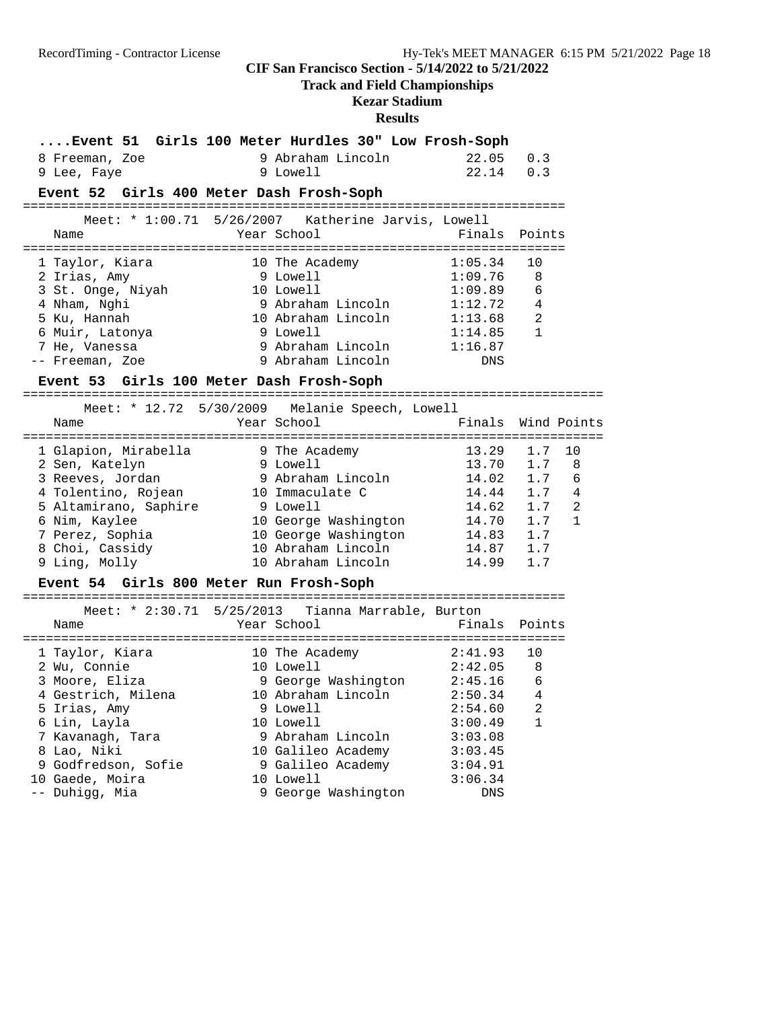### **Track and Field Championships**

**Kezar Stadium**

| Event 51 Girls 100 Meter Hurdles 30" Low Frosh-Soph |                                                    |                                |             |              |
|-----------------------------------------------------|----------------------------------------------------|--------------------------------|-------------|--------------|
| 8 Freeman, Zoe                                      | 9 Abraham Lincoln                                  | 22.05                          | 0.3         |              |
| 9 Lee, Faye                                         | 9 Lowell                                           | 22.14                          | 0.3         |              |
| Event 52 Girls 400 Meter Dash Frosh-Soph            |                                                    |                                |             |              |
|                                                     | Meet: * 1:00.71 5/26/2007 Katherine Jarvis, Lowell |                                |             |              |
| Name                                                | Year School                                        | Finals                         | Points      |              |
|                                                     |                                                    |                                |             |              |
| 1 Taylor, Kiara                                     | 10 The Academy                                     | 1:05.34                        | 10          |              |
| 2 Irias, Amy                                        | 9 Lowell                                           | 1:09.76                        | 8           |              |
| 3 St. Onge, Niyah<br>4 Nham, Nghi                   | 10 Lowell                                          | 1:09.89                        | 6           |              |
|                                                     | 9 Abraham Lincoln 1:12.72                          |                                | 4           |              |
| 5 Ku, Hannah                                        | 10 Abraham Lincoln                                 | 1:13.68                        | 2           |              |
| 6 Muir, Latonya                                     | 9 Lowell                                           | 1:14.85                        | 1           |              |
| 7 He, Vanessa                                       | 9 Abraham Lincoln                                  | 1:16.87                        |             |              |
| -- Freeman, Zoe                                     | 9 Abraham Lincoln                                  | DNS                            |             |              |
| Event 53 Girls 100 Meter Dash Frosh-Soph            |                                                    |                                |             |              |
|                                                     | Meet: * 12.72 5/30/2009 Melanie Speech, Lowell     | ============================== |             |              |
| Name                                                | Year School                                        | Finals                         | Wind Points |              |
|                                                     |                                                    |                                |             |              |
| 1 Glapion, Mirabella                                | 9 The Academy                                      | 13.29                          | 1.7         | 10           |
| 2 Sen, Katelyn                                      | 9 Lowell                                           | 13.70                          | 1.7         | 8            |
| 3 Reeves, Jordan                                    | 9 Abraham Lincoln                                  | 14.02                          | 1.7         | 6            |
| 4 Tolentino, Rojean                                 | 10 Immaculate C                                    | 14.44                          | 1.7         | 4            |
| 5 Altamirano, Saphire                               | 9 Lowell                                           | 14.62                          | 1.7         | 2            |
| 6 Nim, Kaylee                                       | 10 George Washington                               | 14.70<br>14.83                 | 1.7         | $\mathbf{1}$ |
| 7 Perez, Sophia                                     | 10 George Washington                               |                                | 1.7         |              |
| 8 Choi, Cassidy                                     | 10 Abraham Lincoln                                 | 14.87                          | 1.7         |              |
| 9 Ling, Molly                                       | 10 Abraham Lincoln                                 | 14.99                          | 1.7         |              |
| Event 54 Girls 800 Meter Run Frosh-Soph             |                                                    |                                |             |              |
|                                                     | Meet: * 2:30.71 5/25/2013 Tianna Marrable, Burton  |                                |             |              |
| Name                                                | Year School                                        | Finals                         | Points      |              |
|                                                     |                                                    |                                |             |              |
| 1 Taylor, Kiara                                     | 10 The Academy                                     | 2:41.93                        | 10          |              |
| 2 Wu, Connie                                        | 10 Lowell                                          | 2:42.05                        | 8           |              |
| 3 Moore, Eliza                                      | 9 George Washington 2:45.16                        |                                | 6           |              |
| 4 Gestrich, Milena                                  | 10 Abraham Lincoln                                 | 2:50.34                        | 4           |              |
| 5 Irias, Amy                                        | 9 Lowell                                           | 2:54.60                        | 2           |              |
| 6 Lin, Layla                                        | 10 Lowell                                          | 3:00.49                        | 1           |              |
| 7 Kavanagh, Tara                                    | 9 Abraham Lincoln                                  | 3:03.08                        |             |              |
| 8 Lao, Niki                                         | 10 Galileo Academy                                 | 3:03.45                        |             |              |
| 9 Godfredson, Sofie                                 | 9 Galileo Academy                                  | 3:04.91                        |             |              |
| 10 Gaede, Moira                                     | 10 Lowell                                          | 3:06.34                        |             |              |
| -- Duhigg, Mia                                      | 9 George Washington                                | DNS                            |             |              |
|                                                     |                                                    |                                |             |              |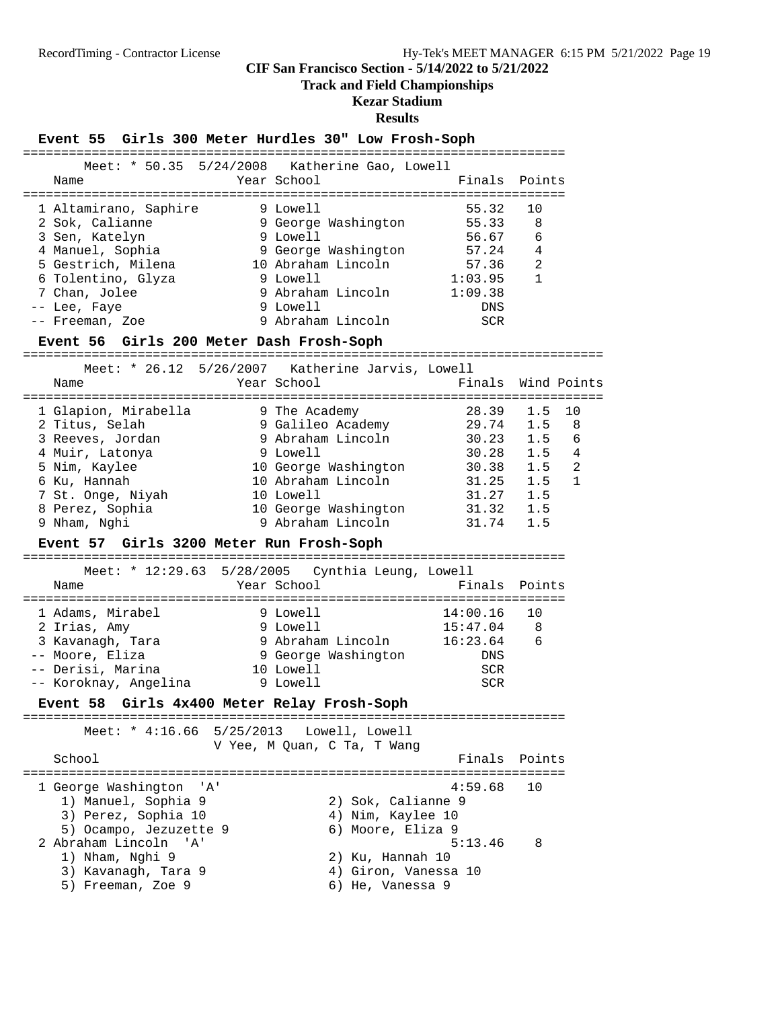### **Track and Field Championships**

# **Kezar Stadium**

| Event 55 Girls 300 Meter Hurdles 30" Low Frosh-Soph                                                                                                                                                                |           |                                                                                                                                                                             |                                                                                                              |                                                             |                                        |
|--------------------------------------------------------------------------------------------------------------------------------------------------------------------------------------------------------------------|-----------|-----------------------------------------------------------------------------------------------------------------------------------------------------------------------------|--------------------------------------------------------------------------------------------------------------|-------------------------------------------------------------|----------------------------------------|
| Meet: * 50.35 5/24/2008                                                                                                                                                                                            |           | Katherine Gao, Lowell                                                                                                                                                       |                                                                                                              |                                                             |                                        |
| Name                                                                                                                                                                                                               |           | Year School                                                                                                                                                                 | Finals                                                                                                       | Points                                                      |                                        |
| 1 Altamirano, Saphire<br>2 Sok, Calianne<br>3 Sen, Katelyn<br>4 Manuel, Sophia<br>5 Gestrich, Milena<br>6 Tolentino, Glyza<br>7 Chan, Jolee<br>-- Lee, Faye                                                        |           | 9 Lowell<br>9 George Washington<br>9 Lowell<br>9 George Washington<br>10 Abraham Lincoln<br>9 Lowell<br>9 Abraham Lincoln<br>9 Lowell                                       | 55.32<br>55.33<br>56.67<br>57.24<br>57.36<br>1:03.95<br>1:09.38<br><b>DNS</b>                                | 10<br>8<br>6<br>4<br>$\overline{2}$<br>$\mathbf{1}$         |                                        |
| -- Freeman, Zoe<br>Event 56 Girls 200 Meter Dash Frosh-Soph                                                                                                                                                        |           | 9 Abraham Lincoln                                                                                                                                                           | <b>SCR</b>                                                                                                   |                                                             |                                        |
|                                                                                                                                                                                                                    |           | Meet: * 26.12 5/26/2007 Katherine Jarvis, Lowell                                                                                                                            |                                                                                                              |                                                             |                                        |
| Name                                                                                                                                                                                                               |           | Year School                                                                                                                                                                 | Finals                                                                                                       | Wind Points                                                 |                                        |
| 1 Glapion, Mirabella<br>2 Titus, Selah<br>3 Reeves, Jordan<br>4 Muir, Latonya<br>5 Nim, Kaylee<br>6 Ku, Hannah<br>7 St. Onge, Niyah<br>8 Perez, Sophia<br>9 Nham, Nghi<br>Event 57 Girls 3200 Meter Run Frosh-Soph |           | 9 The Academy<br>9 Galileo Academy<br>9 Abraham Lincoln<br>9 Lowell<br>10 George Washington<br>10 Abraham Lincoln<br>10 Lowell<br>10 George Washington<br>9 Abraham Lincoln | 28.39<br>29.74<br>30.23<br>30.28<br>30.38<br>31.25<br>31.27<br>31.32<br>31.74<br>=========================== | 1.5<br>1.5<br>1.5<br>1.5<br>1.5<br>1.5<br>1.5<br>1.5<br>1.5 | 10<br>8<br>6<br>4<br>2<br>$\mathbf{1}$ |
| Meet: $* 12:29.63$<br>Name                                                                                                                                                                                         |           | 5/28/2005 Cynthia Leung, Lowell<br>Year School                                                                                                                              | Finals                                                                                                       | Points                                                      |                                        |
| 1 Adams, Mirabel<br>2 Irias, Amy<br>3 Kavanagh, Tara<br>-- Moore, Eliza<br>-- Derisi, Marina<br>-- Koroknay, Angelina                                                                                              |           | 9 Lowell<br>9 Lowell<br>9 Abraham Lincoln<br>9 George Washington<br>10 Lowell<br>9 Lowell                                                                                   | 14:00.16<br>15:47.04<br>16:23.64<br>DNS<br><b>SCR</b><br><b>SCR</b>                                          | 10<br>8<br>6                                                |                                        |
| <b>Event 58</b><br>=======                                                                                                                                                                                         |           | Girls 4x400 Meter Relay Frosh-Soph                                                                                                                                          |                                                                                                              |                                                             |                                        |
| Meet: $* 4:16.66$<br>School                                                                                                                                                                                        | 5/25/2013 | Lowell, Lowell<br>V Yee, M Quan, C Ta, T Wang                                                                                                                               | Finals                                                                                                       | Points                                                      |                                        |
| 1 George Washington<br>'' A '<br>1) Manuel, Sophia 9<br>3) Perez, Sophia 10<br>5) Ocampo, Jezuzette 9                                                                                                              |           | 2) Sok, Calianne 9<br>4) Nim, Kaylee 10<br>6) Moore, Eliza 9                                                                                                                | ====================<br>4:59.68                                                                              | 10                                                          |                                        |
| 2 Abraham Lincoln<br>'' A '<br>1) Nham, Nghi 9<br>3) Kavanagh, Tara 9<br>5) Freeman, Zoe 9                                                                                                                         |           | 2) Ku, Hannah 10<br>4) Giron, Vanessa 10<br>6) He, Vanessa 9                                                                                                                | 5:13.46                                                                                                      | 8                                                           |                                        |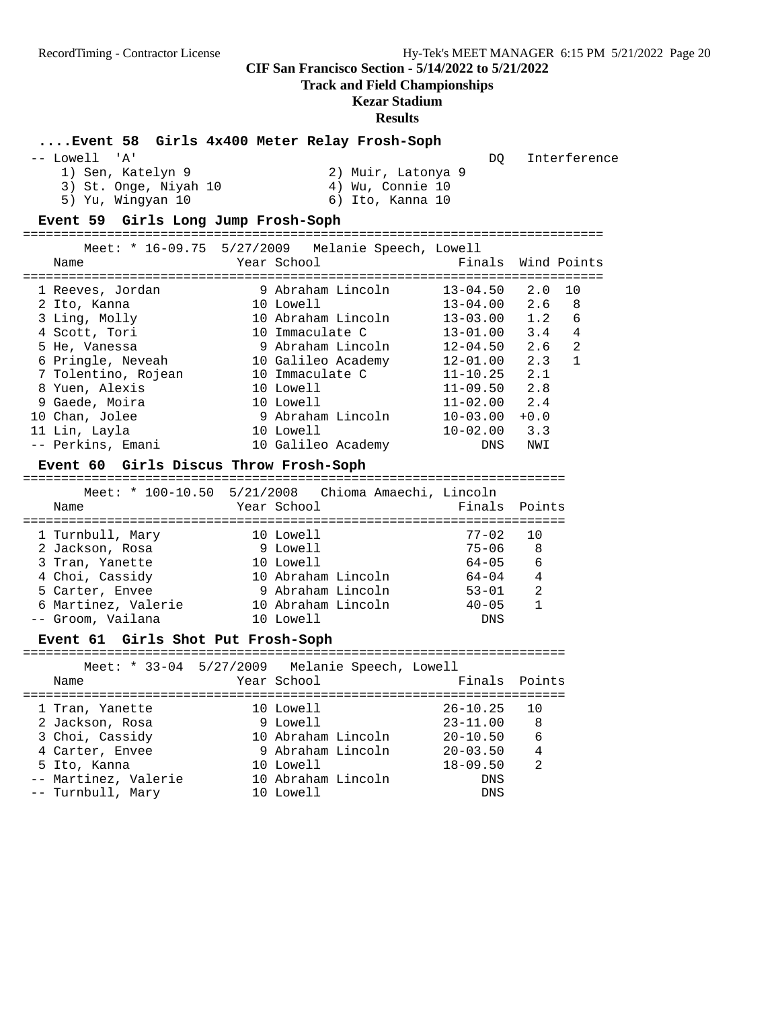**Track and Field Championships**

# **Kezar Stadium**

|      | Event 58 Girls 4x400 Meter Relay Frosh-Soph                                      |           |                    |                                                            |                                  |                    |                |
|------|----------------------------------------------------------------------------------|-----------|--------------------|------------------------------------------------------------|----------------------------------|--------------------|----------------|
|      | -- Lowell 'A'<br>1) Sen, Katelyn 9<br>3) St. Onge, Niyah 10<br>5) Yu, Wingyan 10 |           |                    | 2) Muir, Latonya 9<br>4) Wu, Connie 10<br>6) Ito, Kanna 10 | DQ                               |                    | Interference   |
|      | Event 59 Girls Long Jump Frosh-Soph                                              |           |                    |                                                            |                                  |                    |                |
|      | Meet: * 16-09.75 5/27/2009 Melanie Speech, Lowell                                |           |                    |                                                            |                                  |                    |                |
| Name |                                                                                  |           | Year School        |                                                            |                                  | Finals Wind Points |                |
|      | 1 Reeves, Jordan                                                                 |           |                    | 9 Abraham Lincoln                                          | $13 - 04.50$                     | 2.0                | 10             |
|      | 2 Ito, Kanna                                                                     | 10 Lowell |                    |                                                            | 13-04.00                         | 2.6                | 8              |
|      | 3 Ling, Molly                                                                    |           |                    | 10 Abraham Lincoln                                         |                                  |                    | 6              |
|      | 4 Scott, Tori                                                                    |           | 10 Immaculate C    |                                                            |                                  |                    | 4              |
|      | 5 He, Vanessa                                                                    |           |                    |                                                            | 9 Abraham Lincoln 12-04.50 2.6   |                    | $\overline{2}$ |
|      | 6 Pringle, Neveah 10 Galileo Academy 12-01.00 2.3                                |           |                    |                                                            |                                  |                    | $\mathbf{1}$   |
|      | 7 Tolentino, Rojean 10 Immaculate C                                              |           |                    |                                                            | $11 - 10.25$ 2.1                 |                    |                |
|      | 8 Yuen, Alexis                                                                   |           | 10 Lowell          |                                                            | $11-09.50$ 2.8<br>$11-02.00$ 2.4 |                    |                |
|      | 9 Gaede, Moira                                                                   |           |                    |                                                            | 11-02.00                         | 2.4                |                |
|      | 10 Chan, Jolee                                                                   |           |                    | 10 Lowell<br>9 Abraham Lincoln                             | $10 - 03.00 + 0.0$               |                    |                |
|      | 11 Lin, Layla                                                                    | 10 Lowell |                    |                                                            | $10 - 02.00$                     | 3.3                |                |
|      | -- Perkins, Emani                                                                |           | 10 Galileo Academy |                                                            | DNS                              | NWI                |                |
|      | Event 60 Girls Discus Throw Frosh-Soph                                           |           |                    |                                                            |                                  |                    |                |
|      |                                                                                  |           |                    |                                                            |                                  |                    |                |
| Name | Meet: * 100-10.50 5/21/2008 Chioma Amaechi, Lincoln                              |           | Year School        |                                                            | Finals Points                    |                    |                |
|      | 1 Turnbull, Mary 10 Lowell                                                       |           |                    |                                                            | $77 - 02$                        | 10                 |                |
|      | 2 Jackson, Rosa                                                                  |           | 9 Lowell           |                                                            | 75-06                            | 8                  |                |
|      | 3 Tran, Yanette                                                                  |           | 10 Lowell          |                                                            | 64-05                            | 6                  |                |
|      | 4 Choi, Cassidy                                                                  |           |                    | 10 Abraham Lincoln                                         | $64 - 04$                        | $\overline{4}$     |                |
|      | 5 Carter, Envee                                                                  |           |                    | 9 Abraham Lincoln                                          | $53 - 01$                        | $\overline{2}$     |                |
|      | 6 Martinez, Valerie 10 Abraham Lincoln 40-05                                     |           |                    |                                                            |                                  | $\mathbf{1}$       |                |
|      | -- Groom, Vailana                                                                | 10 Lowell |                    |                                                            | <b>DNS</b>                       |                    |                |
|      | Event 61 Girls Shot Put Frosh-Soph                                               |           |                    |                                                            |                                  |                    |                |
|      | Meet: * 33-04 5/27/2009 Melanie Speech, Lowell                                   |           |                    |                                                            |                                  |                    |                |
| Name |                                                                                  |           | Year School        |                                                            | Finals                           | Points             |                |
|      |                                                                                  |           |                    |                                                            |                                  |                    |                |
|      | 1 Tran, Yanette                                                                  |           | 10 Lowell          |                                                            | $26 - 10.25$                     | 10                 |                |
|      | 2 Jackson, Rosa                                                                  |           | 9 Lowell           |                                                            | $23 - 11.00$                     | 8                  |                |
|      | 3 Choi, Cassidy                                                                  |           | 10 Abraham Lincoln |                                                            | $20 - 10.50$                     | 6                  |                |
|      | 4 Carter, Envee                                                                  |           | 9 Abraham Lincoln  |                                                            | $20 - 03.50$                     | 4                  |                |
|      | 5 Ito, Kanna                                                                     |           | 10 Lowell          |                                                            | $18 - 09.50$                     | 2                  |                |
| $ -$ | Martinez, Valerie                                                                |           | 10 Abraham Lincoln |                                                            | DNS                              |                    |                |
|      | -- Turnbull, Mary                                                                |           | 10 Lowell          |                                                            | DNS                              |                    |                |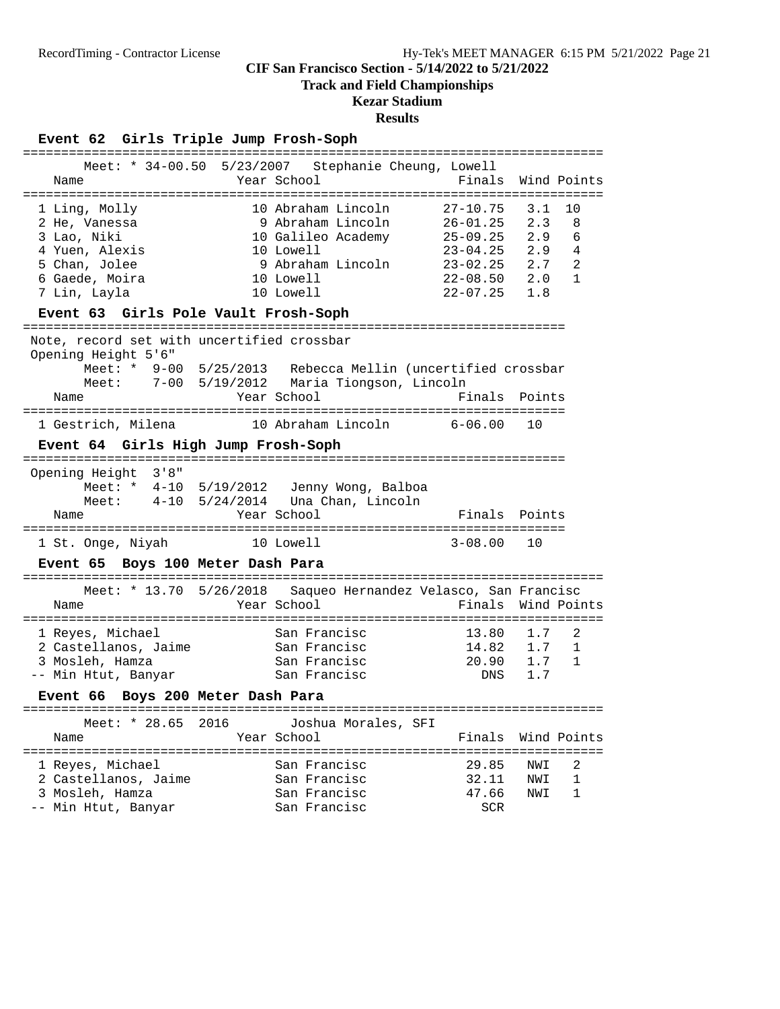**Track and Field Championships**

# **Kezar Stadium**

# **Results**

# **Event 62 Girls Triple Jump Frosh-Soph**

|                                                                    | Meet: * 34-00.50 5/23/2007 Stephanie Cheung, Lowell            |                  |               |
|--------------------------------------------------------------------|----------------------------------------------------------------|------------------|---------------|
| Name                                                               | Year School                                                    | Finals           | Wind Points   |
| ==================                                                 |                                                                |                  |               |
| 1 Ling, Molly                                                      | 10 Abraham Lincoln                                             | 27-10.75         | 3.1<br>10     |
| 2 He, Vanessa                                                      | 9 Abraham Lincoln                                              | 26-01.25         | 8<br>2.3      |
| 3 Lao, Niki                                                        | 10 Galileo Academy                                             | 25-09.25         | 2.9<br>6      |
| 4 Yuen, Alexis                                                     | 10 Lowell                                                      | $23 - 04.25$ 2.9 | 4             |
|                                                                    |                                                                |                  |               |
| 5 Chan, Jolee                                                      | 9 Abraham Lincoln 23-02.25 2.7                                 |                  | 2             |
| 6 Gaede, Moira                                                     | 10 Lowell                                                      | $22 - 08.50$ 2.0 | $\mathbf{1}$  |
| 7 Lin, Layla                                                       | 10 Lowell                                                      | $22 - 07.25$ 1.8 |               |
| Event 63 Girls Pole Vault Frosh-Soph<br>============               |                                                                |                  |               |
| Note, record set with uncertified crossbar                         |                                                                |                  |               |
|                                                                    |                                                                |                  |               |
| Opening Height 5'6"                                                |                                                                |                  |               |
|                                                                    | Meet: * 9-00 5/25/2013 Rebecca Mellin (uncertified crossbar    |                  |               |
|                                                                    | Meet: 7-00 5/19/2012 Maria Tiongson, Lincoln                   |                  |               |
| Name                                                               | Year School                                                    |                  | Finals Points |
|                                                                    |                                                                |                  |               |
| 1 Gestrich, Milena 10 Abraham Lincoln                              |                                                                | $6 - 06.00$      | 10            |
| Event 64 Girls High Jump Frosh-Soph                                |                                                                |                  |               |
| 3'8''<br>Opening Height                                            |                                                                |                  |               |
| Meet: * 4-10 5/19/2012 Jenny Wong, Balboa                          |                                                                |                  |               |
|                                                                    |                                                                |                  |               |
| Meet: $4-10$ $5/24/2014$ Una Chan, Lincoln                         |                                                                |                  |               |
| Name                                                               | Year School                                                    |                  | Finals Points |
| 1 St. Onge, Niyah<br>10 Lowell                                     |                                                                | $3 - 08.00$      | 10            |
| Event 65 Boys 100 Meter Dash Para                                  |                                                                |                  |               |
|                                                                    |                                                                |                  |               |
|                                                                    | Meet: * 13.70 5/26/2018 Saqueo Hernandez Velasco, San Francisc |                  |               |
| Name                                                               | Year School                                                    | Finals           | Wind Points   |
|                                                                    |                                                                |                  |               |
| 1 Reyes, Michael                                                   | San Francisc                                                   | 13.80            | 1.7<br>2      |
| 2 Castellanos, Jaime San Francisc                                  |                                                                | 14.82 1.7        | 1             |
| 3 Mosleh, Hamza                                                    | San Francisc                                                   | 20.90 1.7        | $\mathbf{1}$  |
| -- Min Htut, Banyar                                                | San Francisc                                                   | DNS              | 1.7           |
|                                                                    |                                                                |                  |               |
| Event 66 Boys 200 Meter Dash Para<br>============================= |                                                                |                  |               |
| Meet: * 28.65<br>2016                                              | Joshua Morales, SFI                                            |                  |               |
| Name                                                               | Year School                                                    | Finals           | Wind Points   |
| ==============================                                     | -------------                                                  |                  |               |
|                                                                    |                                                                |                  |               |
| 1 Reyes, Michael                                                   | San Francisc                                                   | 29.85            | 2<br>NWI      |
| 2 Castellanos, Jaime                                               | San Francisc                                                   | 32.11            | 1<br>NWI      |
| 3 Mosleh, Hamza                                                    | San Francisc                                                   | 47.66            | 1<br>NWI      |
| -- Min Htut, Banyar                                                | San Francisc                                                   | SCR              |               |